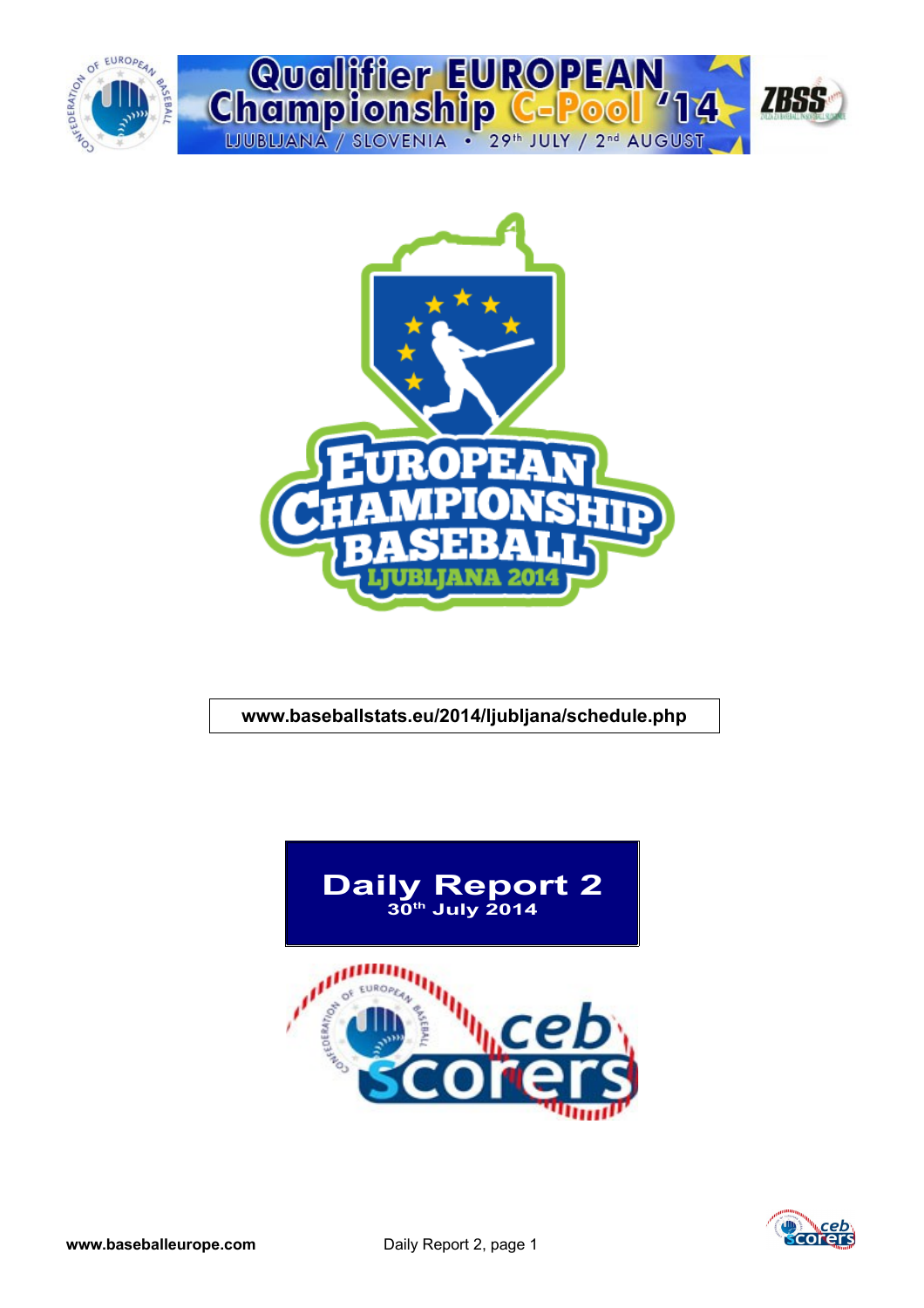



## **www.baseballstats.eu/2014/ljubljana/schedule.php**



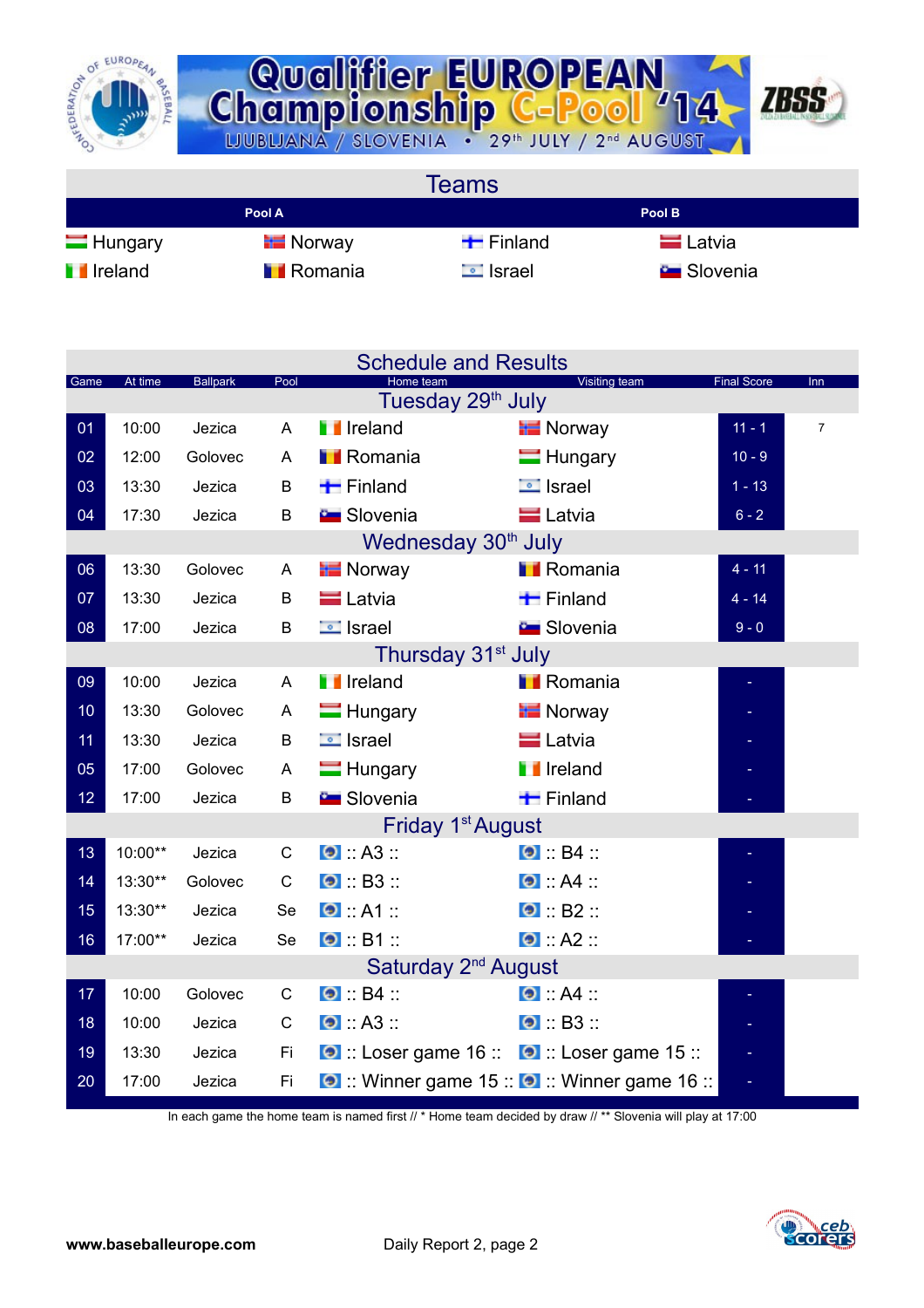



**Teams Pool A Pool B** Hungary Finland Finland Latvia **I** Ireland II Romania II Israel Slovenia

|      |         |                 |              | <b>Schedule and Results</b>                        |                                               |                    |                |
|------|---------|-----------------|--------------|----------------------------------------------------|-----------------------------------------------|--------------------|----------------|
| Game | At time | <b>Ballpark</b> | Pool         | Home team<br>Tuesday 29 <sup>th</sup> July         | Visiting team                                 | <b>Final Score</b> | <b>Inn</b>     |
| 01   | 10:00   | Jezica          | A            | <b>I</b> Ireland                                   | <b>Norway</b>                                 | $11 - 1$           | $\overline{7}$ |
| 02   | 12:00   | Golovec         | A            | <b>Romania</b>                                     | $\blacksquare$ Hungary                        | $10 - 9$           |                |
| 03   | 13:30   | Jezica          | B            | $\blacksquare$ Finland                             | $\Box$ Israel                                 | $1 - 13$           |                |
| 04   | 17:30   | Jezica          | B            | <b>Contract Slovenia</b>                           | <b>E</b> Latvia                               | $6 - 2$            |                |
|      |         |                 |              | Wednesday 30 <sup>th</sup> July                    |                                               |                    |                |
| 06   | 13:30   | Golovec         | A            | <b>E</b> Norway                                    | <b>I</b> Romania                              | $4 - 11$           |                |
| 07   | 13:30   | Jezica          | B            | <b>E</b> Latvia                                    | $\blacksquare$ Finland                        | $4 - 14$           |                |
|      | 17:00   |                 |              | <b>E</b> Israel                                    | <b>E</b> Slovenia                             | $9 - 0$            |                |
| 08   |         | Jezica          | B            | Thursday 31 <sup>st</sup> July                     |                                               |                    |                |
| 09   | 10:00   | Jezica          | A            | <b>T</b> Ireland                                   | <b>I</b> Romania                              |                    |                |
|      |         |                 |              |                                                    |                                               |                    |                |
| 10   | 13:30   | Golovec         | A            | $\blacksquare$ Hungary                             | <b>T</b> Norway                               |                    |                |
| 11   | 13:30   | Jezica          | B            | $\Box$ Israel                                      | <b>E</b> Latvia                               |                    |                |
| 05   | 17:00   | Golovec         | A            | $\blacksquare$ Hungary                             | <b>I</b> Ireland                              |                    |                |
| 12   | 17:00   | Jezica          | B            | <b>Bu</b> Slovenia                                 | $\blacksquare$ Finland                        |                    |                |
|      |         |                 |              | Friday 1 <sup>st</sup> August                      |                                               |                    |                |
| 13   | 10:00** | Jezica          | C            | $\bullet$ : A3 ::                                  | $\bullet$ : B4 ::                             |                    |                |
| 14   | 13:30** | Golovec         | C            | $\bullet$ : B3 :                                   | $\bullet$ $AA$ $\cdot$                        |                    |                |
| 15   | 13:30** | Jezica          | Se           | $\bullet$ $A1$                                     | $\bullet$ : B2 ::                             |                    |                |
| 16   | 17:00** | Jezica          | Se           | $\bullet$ B1                                       | $\bullet$ : A2 ::                             |                    |                |
|      |         |                 |              | Saturday 2 <sup>nd</sup> August                    |                                               |                    |                |
| 17   | 10:00   | Golovec         | $\mathsf{C}$ | $\bullet$ B4                                       | $\bullet$ $AA$ :                              |                    |                |
| 18   | 10:00   | Jezica          | $\mathbf C$  | $\bullet$ $A3$                                     | $\bullet$ B3                                  |                    |                |
| 19   | 13:30   | Jezica          | Fi           | <b>O</b> :: Loser game 16 :: 0 :: Loser game 15 :: |                                               |                    |                |
| 20   | 17:00   | Jezica          | Fi           |                                                    | O :: Winner game 15 :: O :: Winner game 16 :: |                    |                |

In each game the home team is named first // \* Home team decided by draw // \*\* Slovenia will play at 17:00

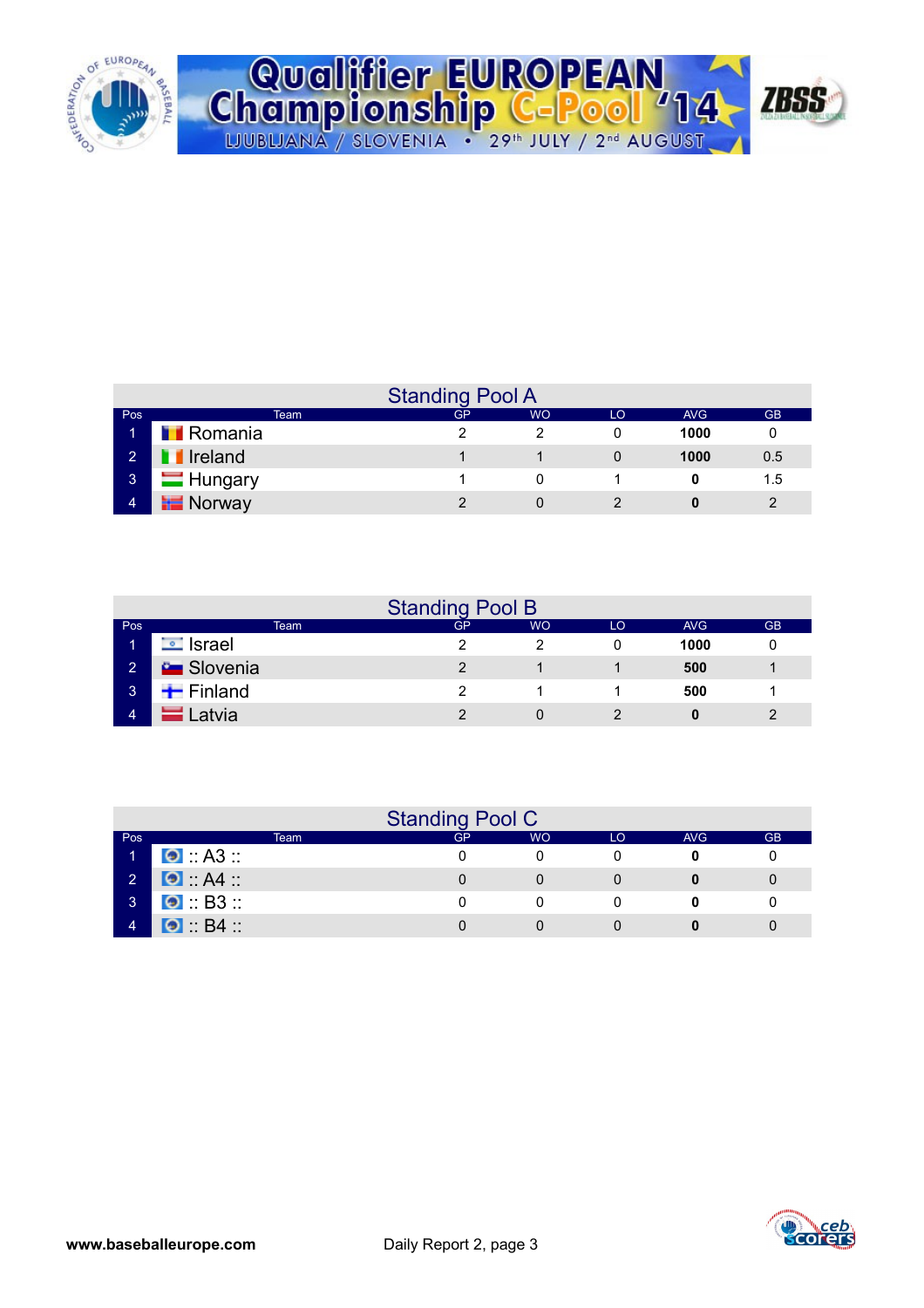

|  | Qualifier EUROPEAN<br>Championship C-Pool '14 2BSS                      |  |
|--|-------------------------------------------------------------------------|--|
|  |                                                                         |  |
|  | LJUBLJANA / SLOVENIA · 29 <sup>th</sup> JULY / 2 <sup>nd</sup> AUGUST / |  |

|                |                  | <b>Standing Pool A</b> |           |    |      |           |
|----------------|------------------|------------------------|-----------|----|------|-----------|
| Pos            | Team             | <b>GP</b>              | <b>WO</b> | LO | AVG. | <b>GB</b> |
| м              | <b>T</b> Romania |                        |           |    | 1000 |           |
| $\overline{2}$ | <b>T</b> Ireland |                        |           |    | 1000 | 0.5       |
| $\overline{3}$ | <b>Hungary</b>   |                        |           |    |      | 1.5       |
| $\overline{4}$ | <b>Norway</b>    |                        |           |    | 0    |           |

|                   |                        |      | <b>Standing Pool B</b> |           |    |      |           |
|-------------------|------------------------|------|------------------------|-----------|----|------|-----------|
| Pos               |                        | Team | GP                     | <b>WO</b> | LO | AVG  | <b>GB</b> |
| ч                 | <b>□</b> Israel        |      |                        |           |    | 1000 |           |
| $\sqrt{2}$        | <b>C</b> Slovenia      |      |                        |           |    | 500  |           |
| $\lceil 3 \rceil$ | $\blacksquare$ Finland |      |                        |           |    | 500  |           |
| $\overline{A}$    | Latvia                 |      | ົ                      |           |    | 0    | າ         |

|                |                        |      | <b>Standing Pool C</b> |           |    |     |           |
|----------------|------------------------|------|------------------------|-----------|----|-----|-----------|
| Pos            |                        | Team | GP                     | <b>WO</b> | LO | AVG | <b>GB</b> |
|                | $\bullet$ : A3 ::      |      |                        |           |    |     |           |
| $\overline{2}$ | $\bullet$ A4           |      |                        |           |    |     |           |
| $\mathbf{3}$   | $\bullet$ : B3 ::      |      |                        |           |    |     |           |
|                | $\bullet$ $B4$ $\cdot$ |      |                        |           |    |     |           |

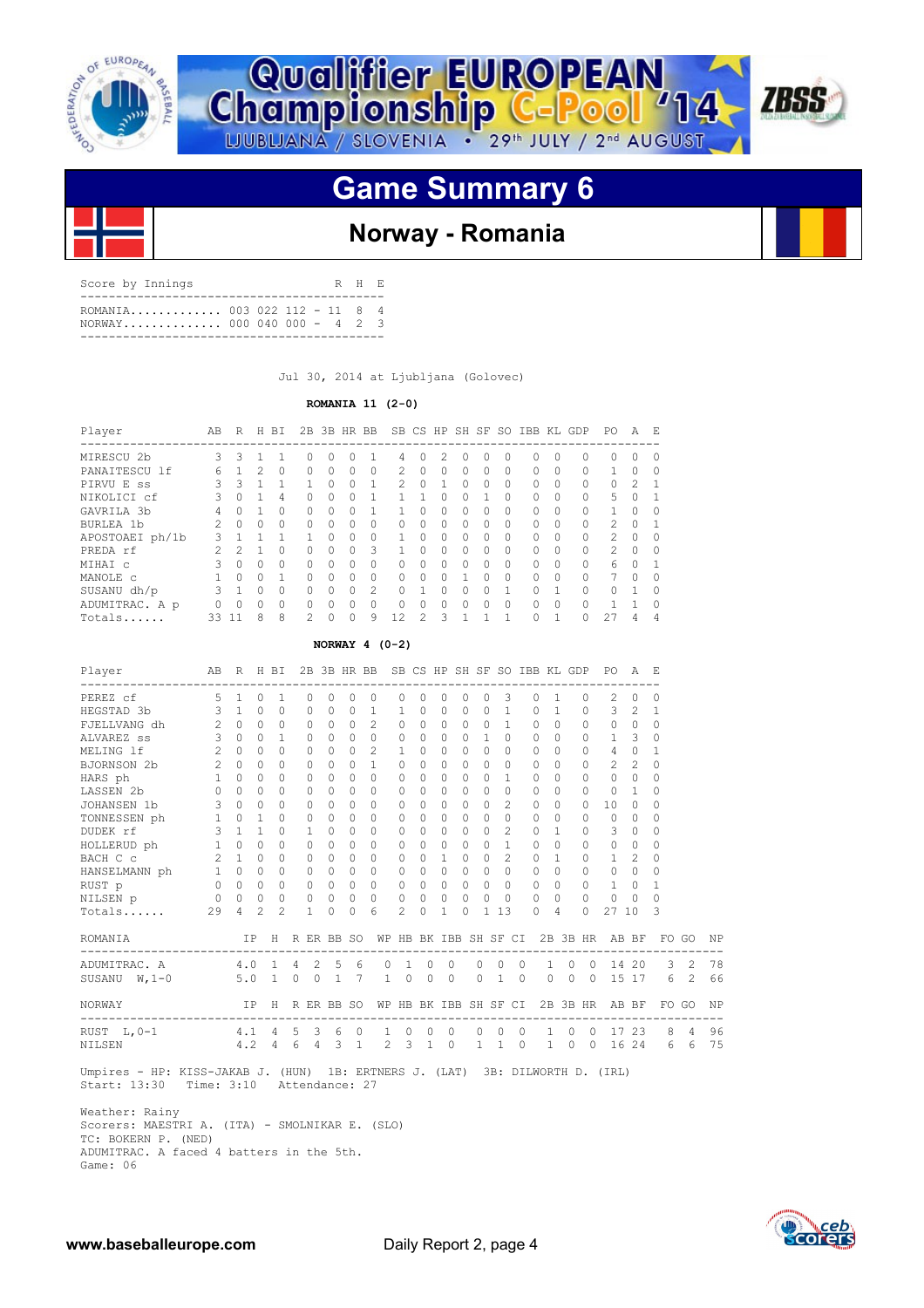



## **Game Summary 6**



## **Norway - Romania**

| Score by Innings                                           |  |  | R H E |  |
|------------------------------------------------------------|--|--|-------|--|
| ROMANTA 003 022 112 - 11 8 4<br>NORWAY 000 040 000 - 4 2 3 |  |  |       |  |
|                                                            |  |  |       |  |

Jul 30, 2014 at Ljubljana (Golovec)

### **ROMANIA 11 (2-0)**

| Player          | AB            | R        | H        | BI       | 2B       |           | 3B HR BB |              |              |          |          | SB CS HP SH SF |          | SO.       | IBB       | KL.          | GDP      | PO.            | A         | E.           |
|-----------------|---------------|----------|----------|----------|----------|-----------|----------|--------------|--------------|----------|----------|----------------|----------|-----------|-----------|--------------|----------|----------------|-----------|--------------|
| MIRESCU 2b      | 3             | 3        |          |          | O        | $\bigcap$ | 0        |              | 4            | $\Omega$ | 2        | $\Omega$       | 0        | $\bigcap$ | 0         | <sup>0</sup> | $\Omega$ | 0              | $\Omega$  | $\bigcap$    |
| PANAITESCU lf   | 6             |          | 2        | $\Omega$ | $\Omega$ | $\Omega$  | 0        | $\Omega$     | 2            | $\Omega$ | $\Omega$ | $\Omega$       | 0        | $\Omega$  | $\Omega$  | $\Omega$     | $\Omega$ |                | $\Omega$  | $\bigcap$    |
| PIRVU E SS      | Κ             | 3        |          |          |          | $\bigcap$ | O        | $\mathbf{1}$ | 2            | $\Omega$ |          | $\cap$         | $\Omega$ | $\bigcap$ | $\Omega$  | $\Omega$     | $\Omega$ | 0              | 2         | $\mathbf{1}$ |
| NIKOLICI cf     | ζ             |          |          | 4        | 0        | $\Omega$  | O        |              |              |          |          | $\Omega$       |          | $\bigcap$ | $\Omega$  | $\Omega$     | $\Omega$ | 5              | 0         |              |
| GAVRILA 3b      | 4             |          |          | ∩        | 0        | $\bigcap$ | 0        |              |              | O        | 0        | $\Omega$       | 0        | $\cap$    | $\bigcap$ | $\Omega$     | $\Omega$ | $\mathbf{1}$   | $\Omega$  | $\cap$       |
| BURLEA 1b       | 2.            | $\Omega$ | 0        | $\Omega$ | 0        | $\Omega$  | 0        | 0            | 0            | $\Omega$ | 0        | $\Omega$       | 0        | $\bigcap$ | $\Omega$  | $\Omega$     | 0        | $\mathfrak{D}$ | $\Omega$  |              |
| APOSTOAEI ph/1b | $\mathcal{L}$ |          |          | 1        |          | $\bigcap$ | O        | 0            |              | $\Omega$ | 0        | $\bigcap$      | 0        | $\cap$    | $\bigcap$ | $\Omega$     | $\Omega$ | $\mathcal{P}$  | $\Omega$  | $\cap$       |
| PREDA rf        |               | っ        |          | 0        | 0        | $\Omega$  | 0        | 3            |              | $\Omega$ | $\Omega$ | $\Omega$       | 0        | $\bigcap$ | $\Omega$  | $\Omega$     | $\Omega$ | $\mathcal{L}$  | $\Omega$  | $\bigcap$    |
| MIHAI C         | २             | $\Omega$ | O        | $\Omega$ | $\cap$   | $\bigcap$ | O        | $\Omega$     | $\bigcap$    | $\Omega$ | $\Omega$ | $\bigcap$      | $\Omega$ | $\cap$    | $\bigcap$ | $\cap$       | $\Omega$ | 6              | $\bigcap$ |              |
| MANOLE C        |               |          | O        |          | O        | $\bigcap$ | $\Omega$ | 0            | 0            | $\Omega$ | ∩        |                | 0        | $\Omega$  | $\Omega$  | $\Omega$     | $\Omega$ |                | $\Omega$  |              |
| SUSANU dh/p     | 3             |          | $\Omega$ | $\Omega$ | $\Omega$ | $\bigcap$ | $\Omega$ | 2            | 0            |          | $\cap$   | $\cap$         | O        |           | $\Omega$  |              | $\Omega$ | 0              | 1         | $\cap$       |
| ADUMITRAC. A p  |               |          | 0        | $\Omega$ | O        | $\bigcap$ | $\Omega$ | 0            | <sup>0</sup> | $\Omega$ | ∩        | $\Omega$       | Ω        | $\Omega$  | $\Omega$  | $\cap$       | $\Omega$ |                |           |              |
| Totals          | 33            | 11       | 8        | 8        | 2        | $\cap$    | $\Omega$ | 9            | 12           | 2        | ς        |                |          |           |           |              | $\Omega$ | 2.7            | 4         | 4            |

### **NORWAY 4 (0-2)**

| Player                     | AB R H BI      |                     |                |                                  |                |                                 |                              |                           | 2B 3B HR BB SB CS HP SH SF SO IBB KL GDP |                       |                         |              |              |                   |                |                           |              |                                    |                            | PO.                                                  | A F.           |              |                     |          |
|----------------------------|----------------|---------------------|----------------|----------------------------------|----------------|---------------------------------|------------------------------|---------------------------|------------------------------------------|-----------------------|-------------------------|--------------|--------------|-------------------|----------------|---------------------------|--------------|------------------------------------|----------------------------|------------------------------------------------------|----------------|--------------|---------------------|----------|
| PEREZ cf                   | 5.             | $\mathbf{1}$        | $\Omega$       | 1                                |                | $\Omega$                        | $\Omega$                     | $\Omega$                  | 0                                        | 0                     | $\Omega$                | $\Omega$     | $\Omega$     | $\Omega$          | 3              |                           | $\Omega$     | $\mathbf{1}$                       | $\Omega$                   | 2                                                    | $\Omega$       | 0            |                     |          |
| HEGSTAD 3b                 | 3              | $\overline{1}$      | $\Omega$       | $\bigcap$                        |                | $\bigcap$                       | $\cap$                       | $\bigcap$                 | $\overline{1}$                           | $\mathbf{1}$          | $\bigcap$               | $\Omega$     | $\cap$       | $\Omega$          | $\mathbf{1}$   |                           | $\cap$       | $\overline{1}$                     | $\Omega$                   | 3                                                    | $\mathcal{L}$  | 1            |                     |          |
| FJELLVANG dh               | $\overline{2}$ | $\Omega$            | $\Omega$       | $\Omega$                         |                | $\Omega$                        | $\Omega$                     | $\Omega$                  | $\overline{2}$                           | $\Omega$              | $\Omega$                | $\circ$      | $\Omega$     | $\circ$           | $\mathbf{1}$   |                           | $\Omega$     | $\Omega$                           | $\Omega$                   | $\Omega$                                             | $\Omega$       | $\Omega$     |                     |          |
| ALVAREZ SS                 | $\overline{3}$ | $\Omega$            | $\Omega$       | 1                                |                | $\Omega$                        | $\Omega$                     | $\Omega$                  | $\Omega$                                 | 0                     | $\Omega$                | $\Omega$     | $\cap$       | $\mathbf{1}$      | $\Omega$       |                           | $\Omega$     | $\Omega$                           | $\bigcap$                  | $\mathbf{1}$                                         | 3              | $\Omega$     |                     |          |
| MELING 1f                  | $\overline{2}$ | $\Omega$            | $\Omega$       | $\Omega$                         |                | $\Omega$                        | $\Omega$                     | $\Omega$                  | $\mathfrak{D}$                           | 1                     | $\Omega$                | $\Omega$     | $\Omega$     | $\Omega$          | $\Omega$       |                           | $\Omega$     | $\Omega$                           | $\Omega$                   | 4                                                    | $\Omega$       | $\mathbf{1}$ |                     |          |
| BJORNSON 2b                | $2^{\circ}$    | $\Omega$            | $\Omega$       | $\Omega$                         |                | $\Omega$                        | $\cap$                       | $\cap$                    | $\mathbf{1}$                             | $\Omega$              | $\Omega$                | $\Omega$     | $\cap$       | $\Omega$          | $\Omega$       |                           | $\Omega$     | $\bigcap$                          | $\Omega$                   | $\mathfrak{D}$                                       | $\mathfrak{D}$ | $\Omega$     |                     |          |
| HARS ph                    | 1              | $\Omega$            | $\Omega$       | $\Omega$                         |                | 0                               | $\Omega$                     | $\Omega$                  | $\Omega$                                 | $\Omega$              | $\Omega$                | $\circ$      | $\Omega$     | $\circ$           | 1              |                           | $\Omega$     | $\Omega$                           | $\Omega$                   | $\Omega$                                             | $\circ$        | 0            |                     |          |
| LASSEN 2b                  | $\Omega$       | $\Omega$            | $\Omega$       | $\Omega$                         |                | $\Omega$                        | $\Omega$                     | $\Omega$                  | $\Omega$                                 | 0                     | $\Omega$                | $\Omega$     | $\Omega$     | $\Omega$          | $\Omega$       |                           | $\Omega$     | $\bigcap$                          | $\Omega$                   | $\Omega$                                             | 1              | $\Omega$     |                     |          |
| JOHANSEN 1b                | 3              | $\Omega$            | $\Omega$       | 0                                |                | $\Omega$                        | $\Omega$                     | $\bigcap$                 | $\Omega$                                 | 0                     | $\cap$                  | $\Omega$     | $\Omega$     | $\Omega$          | $\mathfrak{D}$ |                           | $\Omega$     | $\Omega$                           | $\Omega$                   | 10                                                   | $\Omega$       | $\Omega$     |                     |          |
| TONNESSEN ph               | $\mathbf{1}$   | $\Omega$            | $\mathbf{1}$   | $\Omega$                         |                | $\Omega$                        | $\Omega$                     | $\bigcap$                 | $\Omega$                                 | 0                     | $\bigcap$               | $\Omega$     | $\Omega$     | $\Omega$          | $\Omega$       |                           | $\Omega$     | $\bigcap$                          | $\Omega$                   | $\Omega$                                             | $\Omega$       | $\Omega$     |                     |          |
| DUDEK rf                   | 3              | $\mathbf{1}$        | $\mathbf{1}$   | 0                                |                | 1                               | $\cap$                       | 0                         | $\bigcap$                                | 0                     | $\bigcap$               | $\Omega$     | $\Omega$     | $\Omega$          | $\mathfrak{D}$ |                           | $\Omega$     |                                    | 0                          | 3                                                    | $\Omega$       | $\Omega$     |                     |          |
| HOLLERUD ph                | $\mathbf{1}$   | $\Omega$            | $\Omega$       | $\Omega$                         |                | $\Omega$                        | $\Omega$                     | $\Omega$                  | $\Omega$                                 | 0                     | $\bigcap$               | $\Omega$     | $\Omega$     | $\Omega$          | $\mathbf{1}$   |                           | $\Omega$     | $\bigcap$                          | $\bigcap$                  | $\Omega$                                             | $\Omega$       | $\Omega$     |                     |          |
| BACH C c                   |                | $2 \quad 1$         | $\bigcap$      | 0                                |                | $\Omega$                        | $\cap$                       | $\cap$                    | $\Omega$                                 | 0                     | $\cap$                  | $\mathbf{1}$ | $\Omega$     | $\Omega$          | $\mathfrak{D}$ |                           | $\Omega$     | $\mathbf{1}$                       | $\Omega$                   | $\mathbf{1}$                                         | 2              | $\Omega$     |                     |          |
| HANSELMANN ph              |                | $1 \quad 0 \quad 0$ |                | 0                                |                | $\mathbf{0}$                    | $\Omega$                     | $\Omega$                  | $\Omega$                                 | 0                     | $\Omega$                | $\Omega$     | $\Omega$     | $\circ$           | $\Omega$       |                           | $\Omega$     | $\Omega$                           | $\Omega$                   | $\Omega$                                             | $\Omega$       | $\Omega$     |                     |          |
| RUST p                     |                | $0 \quad 0$         | $\circ$        | $\Omega$                         |                | $\circ$                         | $\Omega$                     | $\Omega$                  | $\Omega$                                 | $\Omega$              | $\Omega$                | $\Omega$     | $\Omega$     | $\circ$           | $\Omega$       |                           | $\Omega$     | $\Omega$                           | $\Omega$                   | $\mathbf{1}$                                         | $\Omega$       | 1            |                     |          |
| NILSEN p                   | $\circ$        | $\bigcirc$          | $\circ$        | $\circ$                          |                | $\circ$                         | $\circ$                      | $\bigcirc$                | $\Omega$                                 | 0                     | $\Omega$                | $\circ$      | $\Omega$     | $\circ$           | $\bigcirc$     |                           | $\Omega$     | $\Omega$                           | $\Omega$                   | $\Omega$                                             | $\Omega$       | $\Omega$     |                     |          |
| Totals                     | 29             | $\overline{4}$      | $\overline{2}$ | $2^{1}$                          |                | $\mathbf{1}$                    | $\Omega$                     | $\Omega$                  | 6                                        | $\mathcal{L}$         | $\Omega$                | $\mathbf{1}$ | $\Omega$     |                   | $1 \t13$       |                           | $\Omega$     | $\overline{4}$                     | $\Omega$                   | 27 10                                                |                | 3            |                     |          |
| ROMANIA                    |                |                     |                |                                  |                |                                 |                              |                           |                                          |                       |                         |              |              |                   |                |                           |              |                                    |                            | IP H R ER BB SO WP HB BK IBB SH SF CI 2B 3B HR AB BF |                |              | FO GO               | NP       |
| ADUMITRAC. A               |                |                     |                | 4.0 1                            | $\overline{4}$ |                                 | $2 \quad 5$                  | 6                         | $\Omega$                                 | $\mathbf{1}$          | $\Omega$                |              | $\Omega$     | $\circ$           | $\Omega$       | $\Omega$                  | $\mathbf{1}$ | $\Omega$                           | $\Omega$                   |                                                      | 14 20          | 3            | $\mathcal{L}$       | 78       |
| SUSANU $W.1-0$             |                | 5.0                 |                | $1 \quad 0$                      |                |                                 | $0 \quad 1$                  | 7                         | $\mathbf{1}$                             | $\Omega$              | $\Omega$                |              | $\Omega$     | $\Omega$          | $\mathbf{1}$   | $\Omega$                  | $\Omega$     | $\circ$                            | $\Omega$                   | 15                                                   | 17             | 6            | 2                   | 66       |
| NORWAY<br>---------------- |                |                     | IP -           | H                                |                |                                 | R ER BB SO                   |                           | ---------------------------              | WP HB BK IBB SH SF CI |                         |              |              |                   |                |                           |              |                                    |                            | 2B 3B HR AB BF                                       |                |              | FO GO               | NP       |
| RUST L, 0-1<br>NILSEN      |                | 4.1                 |                | $4\overline{ }$<br>$4.2 \quad 4$ | 5<br>6         | $\mathcal{S}$<br>$\overline{4}$ | 6<br>$\overline{\mathbf{3}}$ | $\circ$<br>$\overline{1}$ | 1<br>2                                   | $\circ$<br>3          | $\circ$<br>$\mathbf{1}$ | $\circ$      | $\mathbf{0}$ | 0<br>$\mathbf{1}$ | $\Omega$<br>1  | $\circ$<br>$\overline{0}$ | $\mathbf{1}$ | $\circ$<br>$\mathbf{1}$<br>$\circ$ | $\Omega$<br>$\overline{0}$ | 17                                                   | 23<br>16 24    | 8<br>6       | $\overline{4}$<br>6 | 96<br>75 |

 Umpires - HP: KISS-JAKAB J. (HUN) 1B: ERTNERS J. (LAT) 3B: DILWORTH D. (IRL) Start: 13:30 Time: 3:10 Attendance: 27

 Weather: Rainy Scorers: MAESTRI A. (ITA) - SMOLNIKAR E. (SLO) TC: BOKERN P. (NED) ADUMITRAC. A faced 4 batters in the 5th. Game: 06

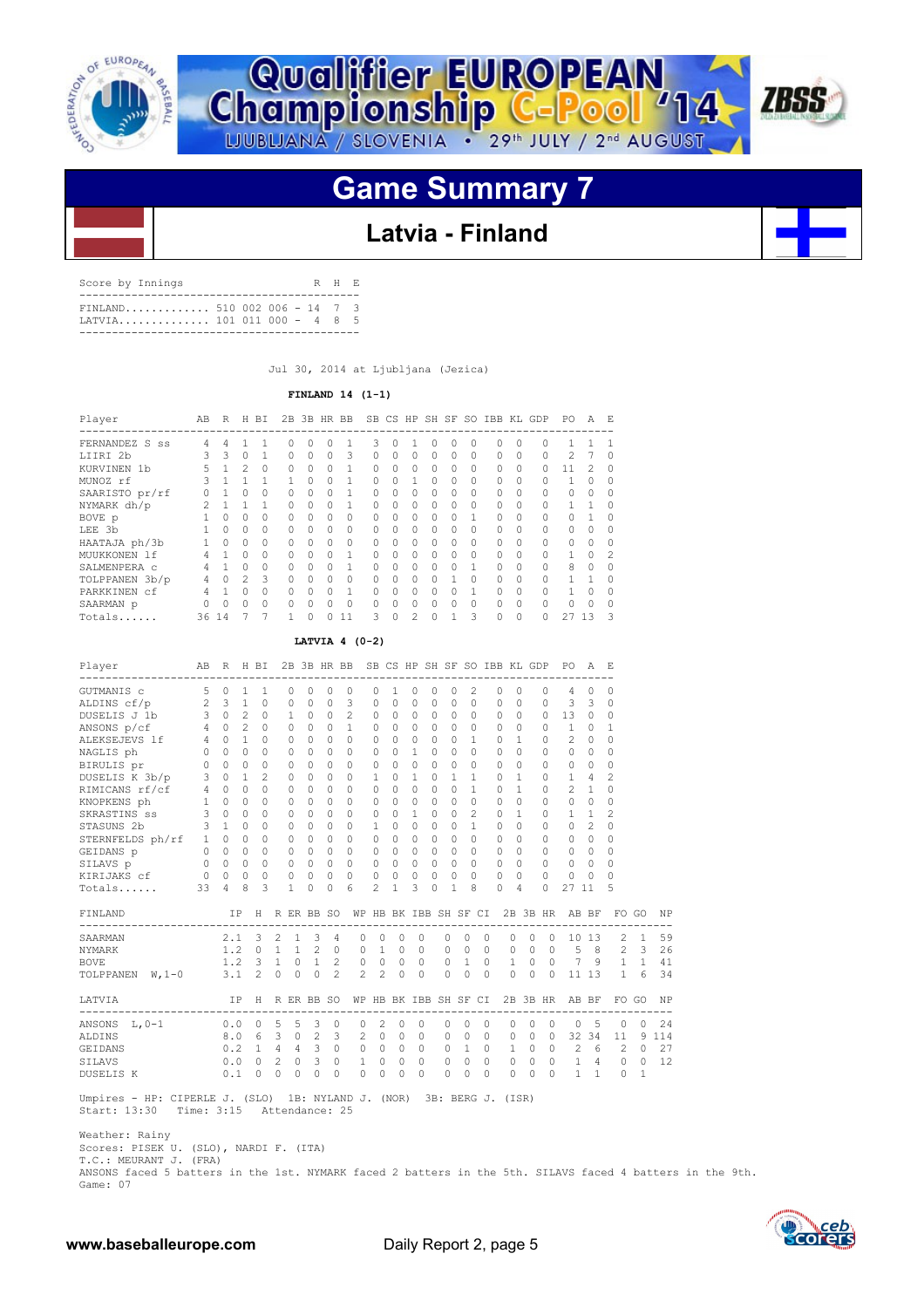



## **Game Summary 7**

## **Latvia - Finland**

| Score by Innings |                              |  |  | R H E |  |
|------------------|------------------------------|--|--|-------|--|
|                  | FINLAND 510 002 006 - 14 7 3 |  |  |       |  |

Jul 30, 2014 at Ljubljana (Jezica)

 **FINLAND 14 (1-1)**

| Player                     | AB | R        | Н             | BI.       | 2B       |          | 3B HR BB  |              | SB        |          | CS HP SH SF |           |          | SO.      | IBB       | KL.      | GDP      | PO.          | A      | E.            |
|----------------------------|----|----------|---------------|-----------|----------|----------|-----------|--------------|-----------|----------|-------------|-----------|----------|----------|-----------|----------|----------|--------------|--------|---------------|
| FERNANDEZ S ss             | 4  | 4        |               |           | U        | Ω        |           |              | ς         | Ω        |             |           | O        |          | O         |          | Ω        |              |        |               |
| LIIRI 2b                   | २  | 3        | 0             |           | $\Omega$ | $\Omega$ | $\Omega$  | 3            | $\Omega$  | $\Omega$ | 0           | $\Omega$  | 0        | 0        | $\Omega$  | $\Omega$ | 0        | 2            |        | $\Omega$      |
| KURVINEN<br>1 <sub>b</sub> | 5. |          | 2             | $\Omega$  | $\cap$   | $\Omega$ | $\Omega$  |              | $\cap$    | $\Omega$ | 0           | $\bigcap$ | $\Omega$ | $\Omega$ | $\Omega$  | $\Omega$ | O        | 11           | 2      | $\Omega$      |
| MUNOZ rf                   | 3  |          |               |           |          | $\Omega$ | $\cap$    |              | $\Omega$  | $\Omega$ |             | $\bigcap$ | $\Omega$ | $\Omega$ | $\Omega$  | $\Omega$ | $\Omega$ |              | $\cap$ | $\Omega$      |
| SAARISTO pr/rf             |    |          | $\Omega$      | $\Omega$  | $\cap$   | 0        | $\Omega$  |              | $\Omega$  | $\Omega$ | 0           | $\Omega$  | $\Omega$ | $\Omega$ | $\Omega$  |          | $\Omega$ | 0            | $\cap$ | $\Omega$      |
| NYMARK dh/p                |    |          |               |           | $\cap$   | $\Omega$ | $\bigcap$ | $\mathbf{1}$ | $\Omega$  | $\cap$   | O           | $\cap$    | $\Omega$ | $\Omega$ | $\bigcap$ |          |          |              |        | $\Omega$      |
| BOVE p                     |    | 0        | 0             | $\Omega$  | $\cap$   | $\Omega$ | $\Omega$  | $\Omega$     | $\Omega$  | $\Omega$ | O           | $\bigcap$ | 0        |          | $\Omega$  | $\Omega$ |          |              |        | $\Omega$      |
| LEE 3b                     |    | 0        | 0             | $\Omega$  | 0        | Ω        | $\Omega$  | $\Omega$     | $\Omega$  | $\cap$   | 0           | $\bigcap$ | 0        | $\Omega$ | $\Omega$  |          |          | O            | O      | $\Omega$      |
| HAATAJA ph/3b              |    | O        | $\Omega$      | $\Omega$  | $\cap$   | $\Omega$ | $\bigcap$ | $\Omega$     | $\bigcap$ | $\cap$   | O           | $\bigcap$ | $\Omega$ | $\Omega$ | $\Omega$  | $\Omega$ | $\Omega$ | $\Omega$     | $\cap$ | $\Omega$      |
| MUUKKONEN 1f               | 4  |          | $\cap$        | $\cap$    | $\Omega$ | $\Omega$ | $\bigcap$ | 1            | $\Omega$  | $\Omega$ | O           | $\cap$    | $\Omega$ | O        | $\Omega$  | $\Omega$ |          | $\mathbf{1}$ | $\cap$ | $\mathcal{L}$ |
| SALMENPERA C               |    |          | O             | $\bigcap$ | $\cap$   | $\Omega$ | $\cap$    | 1            | $\Omega$  | $\cap$   | O           | $\bigcap$ | O        |          | $\Omega$  |          |          | 8            | $\cap$ | $\Omega$      |
| TOLPPANEN 3b/p             |    | $\Omega$ | $\mathcal{L}$ | 3         | $\Omega$ | Ω        | $\Omega$  | $\Omega$     | O         | $\cap$   | O           | $\bigcap$ |          | $\Omega$ | $\cap$    |          |          |              |        | $\Omega$      |
| PARKKINEN cf               | 4  |          | $\Omega$      | $\bigcap$ | $\cap$   | $\Omega$ | $\cap$    | $\mathbf{1}$ | $\Omega$  | $\cap$   | O           | $\cap$    | $\cap$   |          | $\cap$    | $\Omega$ |          |              | O      | $\Omega$      |
| SAARMAN p                  |    | O        | O             | $\bigcap$ | $\cap$   | $\Omega$ | $\cap$    | $\Omega$     | $\Omega$  | $\Omega$ | O           | $\bigcap$ | $\Omega$ | $\Omega$ | $\Omega$  | $\Omega$ | $\Omega$ | Λ            | O      | $\Omega$      |
| $Totals$                   | 36 | 14       |               |           |          |          |           | 11           | ς         | 0        | 2           | $\cap$    |          | ς        | $\Omega$  | $\Omega$ | O        | 21           | 13     | $\mathcal{A}$ |

### **LATVIA 4 (0-2)**

| Player                       | AB             | R              |                | H BI                    |                |             |              |                | 2B 3B HR BB    |                                                                                                                                                                                                                                                                                                                                                                                                                            |              |             |           |              |                |              | SB CS HP SH SF SO IBB KL GDP   |             |              | PO.            | $\mathcal{A}$  | - F.           |          |           |
|------------------------------|----------------|----------------|----------------|-------------------------|----------------|-------------|--------------|----------------|----------------|----------------------------------------------------------------------------------------------------------------------------------------------------------------------------------------------------------------------------------------------------------------------------------------------------------------------------------------------------------------------------------------------------------------------------|--------------|-------------|-----------|--------------|----------------|--------------|--------------------------------|-------------|--------------|----------------|----------------|----------------|----------|-----------|
| GUTMANIS c                   | 5              | $\Omega$       | 1              | 1                       |                | $\Omega$    | $\Omega$     | $\Omega$       | $\Omega$       | $\Omega$                                                                                                                                                                                                                                                                                                                                                                                                                   | $\mathbf{1}$ | 0           | $\Omega$  | 0            | $\overline{c}$ |              | $\Omega$                       | 0           | 0            | 4              | $\Omega$       | $\Omega$       |          |           |
| ALDINS cf/p 2                |                | 3              | $\mathbf{1}$   | $\Omega$                |                | $\Omega$    | $\Omega$     | $\Omega$       | 3              | $\Omega$                                                                                                                                                                                                                                                                                                                                                                                                                   | $\Omega$     | $\Omega$    | $\Omega$  | $\Omega$     | $\Omega$       |              | $\Omega$                       | 0           | 0            | 3              | 3              | $\Omega$       |          |           |
| DUSELIS J 1b                 | 3              | $\Omega$       | $\overline{c}$ | $\mathbf{0}$            |                | 1.          | $\Omega$     | $\Omega$       | 2              | 0                                                                                                                                                                                                                                                                                                                                                                                                                          | $\Omega$     | 0           | $\Omega$  | $\Omega$     | $\Omega$       |              | $\Omega$                       | 0           | $\Omega$     | 13             | $\mathbf{0}$   | 0              |          |           |
| ANSONS p/cf                  | 4              | $\Omega$       | $\overline{c}$ | $\Omega$                |                | $\Omega$    | $\Omega$     | $\Omega$       | $\mathbf{1}$   | $\Omega$                                                                                                                                                                                                                                                                                                                                                                                                                   | $\Omega$     | $\Omega$    | $\Omega$  | $\Omega$     | $\Omega$       |              | $\Omega$                       | 0           | 0            | $\mathbf{1}$   | $\Omega$       | 1              |          |           |
| ALEKSEJEVS 1f                | $\overline{4}$ | $\Omega$       | $\mathbf{1}$   | $\Omega$                |                | $\Omega$    | $\Omega$     | $\Omega$       | $\Omega$       | $\Omega$                                                                                                                                                                                                                                                                                                                                                                                                                   | $\Omega$     | $\Omega$    | $\cap$    | $\Omega$     | $\mathbf{1}$   |              | $\Omega$                       | 1           | 0            | $\overline{c}$ | $\Omega$       | $\Omega$       |          |           |
| $0 \quad 0$<br>NAGLIS ph     |                |                | $\Omega$       | $\Omega$                |                | $\Omega$    | $\Omega$     | $\Omega$       | $\Omega$       | $\Omega$                                                                                                                                                                                                                                                                                                                                                                                                                   | $\Omega$     | 1           | $\Omega$  | $\Omega$     | 0              |              | $\Omega$                       | $\Omega$    | 0            | $\Omega$       | $\Omega$       | $\Omega$       |          |           |
| BIRULIS pr                   | $\Omega$       | $\Omega$       | $\Omega$       | $\Omega$                |                | $\Omega$    | $\Omega$     | $\Omega$       | $\cap$         | $\Omega$                                                                                                                                                                                                                                                                                                                                                                                                                   | $\Omega$     | $\Omega$    | $\bigcap$ | $\Omega$     | $\Omega$       |              | $\bigcap$                      | $\Omega$    | 0            | $\Omega$       | $\Omega$       | $\Omega$       |          |           |
| DUSELIS K 3b/p               | 3              | $\Omega$       | $\mathbf{1}$   | $\overline{c}$          |                | $\Omega$    | $\Omega$     | $\cap$         | $\Omega$       | 1                                                                                                                                                                                                                                                                                                                                                                                                                          | $\bigcap$    | 1           | $\bigcap$ | $\mathbf{1}$ | 1              |              | $\bigcap$                      | 1           | 0            | $\mathbf{1}$   | 4              | $\overline{a}$ |          |           |
| RIMICANS rf/cf               | $4 -$          | $\Omega$       | $\Omega$       | $\Omega$                |                | $\Omega$    | $\Omega$     | $\Omega$       | $\Omega$       | $\Omega$                                                                                                                                                                                                                                                                                                                                                                                                                   | $\Omega$     | $\Omega$    | $\bigcap$ | $\Omega$     | 1              |              | $\Omega$                       | 1           | 0            | $\mathfrak{D}$ | $\mathbf{1}$   | 0              |          |           |
| KNOPKENS ph                  | $\mathbf{1}$   | $\Omega$       | $\Omega$       | $\Omega$                |                | 0           | $\Omega$     | $\cap$         | $\Omega$       | $\Omega$                                                                                                                                                                                                                                                                                                                                                                                                                   | $\cap$       | $\mathbf 0$ | $\cap$    | $\Omega$     | $\Omega$       |              | $\cap$                         | $\Omega$    | $\Omega$     | $\Omega$       | $\circ$        | $\Omega$       |          |           |
| SKRASTINS ss                 | $\mathbf{3}$   | $\Omega$       | $\Omega$       | $\Omega$                |                | $\Omega$    | $\Omega$     | $\Omega$       | $\Omega$       | 0                                                                                                                                                                                                                                                                                                                                                                                                                          | $\Omega$     | 1           | $\Omega$  | $\Omega$     | 2              |              | $\Omega$                       | 1           | 0            | $\mathbf{1}$   | $\mathbf{1}$   | $\overline{a}$ |          |           |
| STASUNS 2b                   | $\overline{3}$ | $\overline{1}$ | $\Omega$       | $\Omega$                |                | $\Omega$    | $\Omega$     | $\Omega$       | $\Omega$       | 1                                                                                                                                                                                                                                                                                                                                                                                                                          | $\Omega$     | $\Omega$    | $\Omega$  | $\Omega$     | $\mathbf{1}$   |              | $\Omega$                       | $\Omega$    | 0            | $\Omega$       | $\mathfrak{D}$ | $\Omega$       |          |           |
| STERNFELDS ph/rf             | 1              | $\Omega$       | $\Omega$       | $\Omega$                |                | $\Omega$    | $\Omega$     | $\Omega$       | $\Omega$       | $\Omega$                                                                                                                                                                                                                                                                                                                                                                                                                   | $\Omega$     | $\Omega$    | $\bigcap$ | 0            | 0              |              | $\bigcap$                      | 0           | 0            | $\Omega$       | $\Omega$       | 0              |          |           |
| GEIDANS p                    |                | $0 \quad 0$    | $\Omega$       | $\Omega$                |                | $\Omega$    | $\Omega$     | $\Omega$       | $\Omega$       | $\Omega$                                                                                                                                                                                                                                                                                                                                                                                                                   | $\Omega$     | $\Omega$    | $\Omega$  | $\Omega$     | $\Omega$       |              | $\Omega$                       | 0           | 0            | $\Omega$       | $\Omega$       | $\Omega$       |          |           |
| SILAVS p                     | 0              | $\Omega$       | $\circ$        | $\mathbf{0}$            |                | $\mathbf 0$ | $\Omega$     | $\Omega$       | $\Omega$       | 0                                                                                                                                                                                                                                                                                                                                                                                                                          | $\Omega$     | $\circ$     | $\Omega$  | $\Omega$     | $\Omega$       |              | $\Omega$                       | 0           | 0            | <sup>n</sup>   | $\circ$        | 0              |          |           |
| KIRIJAKS cf                  | $\Omega$       | $\Omega$       | $\Omega$       | $\Omega$                |                | 0           | $\Omega$     | $\Omega$       | $\Omega$       | $\Omega$                                                                                                                                                                                                                                                                                                                                                                                                                   | $\Omega$     | $\mathbf 0$ | $\bigcap$ | $\Omega$     | $\Omega$       |              | $\cap$                         | 0           | 0            | $\Omega$       | $\Omega$       | $\Omega$       |          |           |
| Totals                       | 33             | 4              | 8              | 3                       |                | 1           | $\Omega$     | $\Omega$       | 6              | $\mathfrak{D}$                                                                                                                                                                                                                                                                                                                                                                                                             | $\mathbf{1}$ | 3           | $\Omega$  | 1            | 8              |              | $\Omega$                       | 4           | 0            | 27             | 11             | 5              |          |           |
| FINLAND                      |                | IP             |                | Н                       |                |             | R ER BB SO   |                |                |                                                                                                                                                                                                                                                                                                                                                                                                                            |              |             |           |              |                |              | WP HB BK IBB SH SF CI 2B 3B HR |             |              |                | AB BF          |                | FO GO    | <b>NP</b> |
| SAARMAN                      |                | 2.1            |                | 3                       | $\mathcal{L}$  | 1           | 3            | 4              | $\Omega$       | $\Omega$                                                                                                                                                                                                                                                                                                                                                                                                                   | $\Omega$     | $\Omega$    |           | $\Omega$     | $\Omega$       | $\Omega$     | $\Omega$                       | $\Omega$    | $\Omega$     |                | 10 13          | $\mathfrak{D}$ | 1        | 59        |
| <b>NYMARK</b>                |                | 1.2            |                | $\Omega$                | $\mathbf{1}$   |             | $1 \quad 2$  | $\Omega$       | $\Omega$       | $\mathbf{1}$                                                                                                                                                                                                                                                                                                                                                                                                               | $\Omega$     | $\Omega$    |           | 0            | $\Omega$       | $\Omega$     | 0                              | $\Omega$    | $\Omega$     | 5              | - 8            | 2              | 3        | 26        |
| <b>BOVE</b>                  |                | 1.2            |                | $\overline{\mathbf{3}}$ | $\mathbf{1}$   | $\circ$     | $\mathbf{1}$ | $\overline{c}$ | $\circ$        | $\mathbf 0$                                                                                                                                                                                                                                                                                                                                                                                                                | $\Omega$     | $\mathbf 0$ |           | 0            | $\mathbf{1}$   | $\circ$      | $\mathbf{1}$                   | $\circ$     | $\Omega$     | $\overline{7}$ | 9              | $\mathbf{1}$   | 1        | 41        |
| TOLPPANEN<br>$W, 1-0$        |                | 3.1            |                | 2                       | $\circ$        | 0           | $\Omega$     | $\mathfrak{D}$ | $\overline{2}$ | $\overline{c}$                                                                                                                                                                                                                                                                                                                                                                                                             | $\mathbf 0$  | $\Omega$    |           | $\Omega$     | $\mathbf 0$    | $\Omega$     | $\circ$                        | $\mathbf 0$ | $\Omega$     | 11             | 13             | $\mathbf{1}$   | 6        | 34        |
| LATVIA<br>------------------ |                |                | IP             | Η                       |                |             | R ER BB SO   |                |                | WP HB BK IBB SH SF CI                                                                                                                                                                                                                                                                                                                                                                                                      |              |             |           |              |                |              |                                | 2B 3B HR    |              |                | AB BF          |                | FO GO    | NP        |
| ANSONS L, 0-1                |                | 0.0            |                | $\circ$                 | 5              | 5           | 3            | $\Omega$       | $\Omega$       | $\mathfrak{D}_{1}^{2}(\mathfrak{D}_{1})=\mathfrak{D}_{2}^{2}(\mathfrak{D}_{2})=\mathfrak{D}_{2}^{2}(\mathfrak{D}_{1})=\mathfrak{D}_{2}^{2}(\mathfrak{D}_{2})=\mathfrak{D}_{2}^{2}(\mathfrak{D}_{1})=\mathfrak{D}_{2}^{2}(\mathfrak{D}_{1})=\mathfrak{D}_{2}^{2}(\mathfrak{D}_{1})=\mathfrak{D}_{2}^{2}(\mathfrak{D}_{1})=\mathfrak{D}_{2}^{2}(\mathfrak{D}_{1})=\mathfrak{D}_{2}^{2}(\mathfrak{D}_{1})=\mathfrak{D}_{2}^{$ | $\Omega$     | $\Omega$    |           | $\Omega$     | $\Omega$       | $\Omega$     | $\Omega$                       | $\Omega$    | $\Omega$     | 0              | 5              | $\Omega$       | $\Omega$ | 24        |
| <b>ALDINS</b>                |                | 8.0            |                | - 6                     | 3              | $\circ$     | 2            | 3              | 2              | $\Omega$                                                                                                                                                                                                                                                                                                                                                                                                                   | $\Omega$     | $\mathbf 0$ |           | 0            | $\Omega$       | $\Omega$     | $\mathbf 0$                    | $\circ$     | $\circ$      | 32             | 34             | 11             | 9        | 114       |
| GEIDANS                      |                | 0.2            |                | $\overline{1}$          | $\sqrt{4}$     | 4           | 3            | $\circ$        | 0              | 0                                                                                                                                                                                                                                                                                                                                                                                                                          | $\Omega$     | $\circ$     |           | $\circ$      | $\mathbf{1}$   | $\mathbf{0}$ | $\mathbf{1}$                   | $\circ$     | $\circ$      | $\overline{c}$ | 6              | $\overline{c}$ | $\Omega$ | 27        |
| SILAVS                       |                | 0.0            |                | $\Omega$                | $\overline{c}$ | $\Omega$    | 3            | $\Omega$       | $\mathbf{1}$   | 0                                                                                                                                                                                                                                                                                                                                                                                                                          | $\Omega$     | $\Omega$    |           | 0            | $\Omega$       | $\Omega$     | $\circ$                        | $\circ$     | $\mathbf{0}$ | 1              | 4              | $\Omega$       | $\Omega$ | 12        |
| <b>DUSELIS K</b>             |                | 0.1            |                | 0                       | $\Omega$       | $\Omega$    | 0            | $\Omega$       | $\Omega$       | 0                                                                                                                                                                                                                                                                                                                                                                                                                          | $\Omega$     | $\Omega$    |           | $\Omega$     | $\cap$         | $\Omega$     | $\Omega$                       | $\Omega$    | $\Omega$     | $\mathbf{1}$   | $\mathbf{1}$   | $\Omega$       | 1        |           |

 Umpires - HP: CIPERLE J. (SLO) 1B: NYLAND J. (NOR) 3B: BERG J. (ISR) Start: 13:30 Time: 3:15 Attendance: 25

 Weather: Rainy Scores: PISEK U. (SLO), NARDI F. (ITA) T.C.: MEURANT J. (FRA)

 ANSONS faced 5 batters in the 1st. NYMARK faced 2 batters in the 5th. SILAVS faced 4 batters in the 9th. Game: 07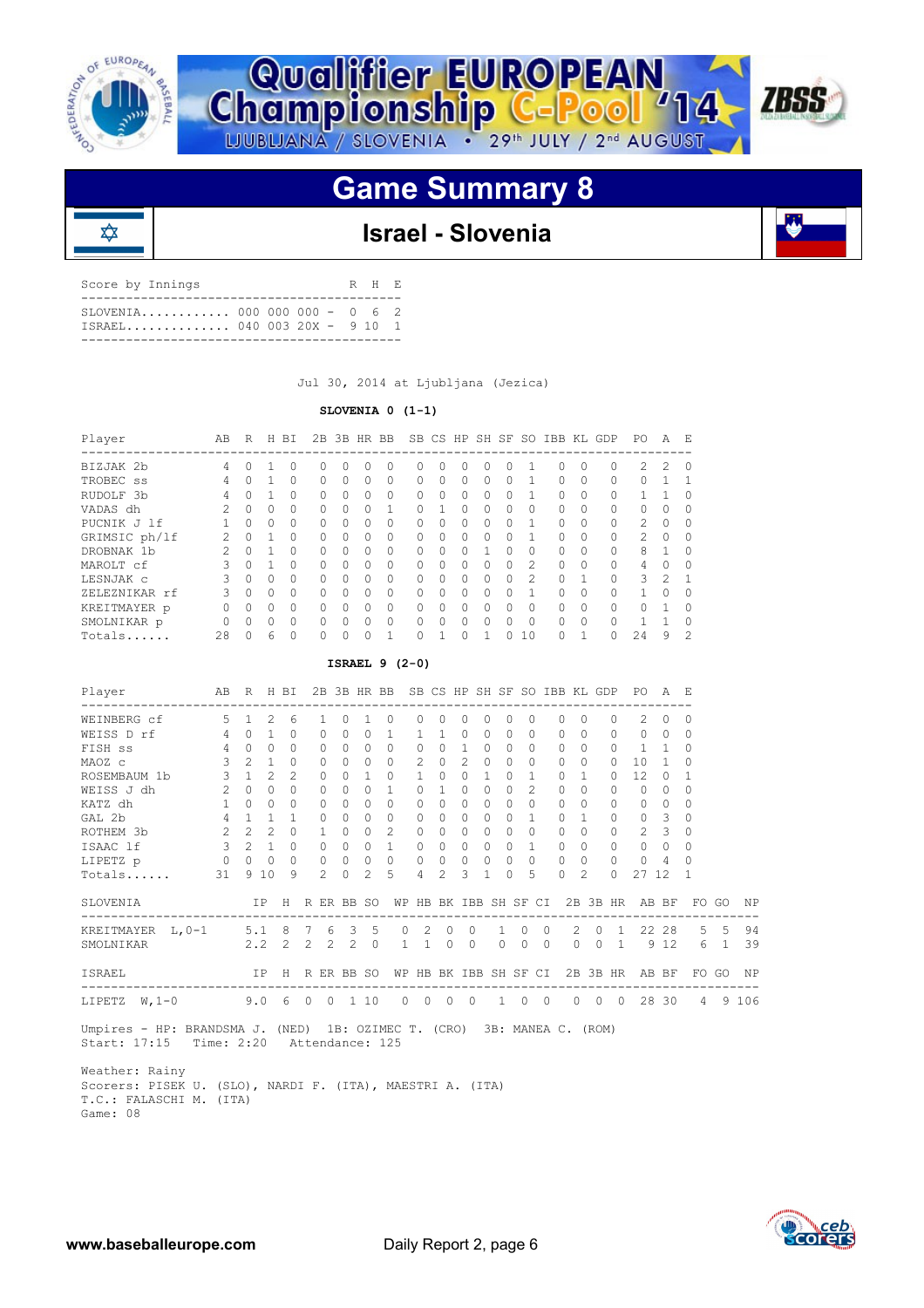

₥





## **Game Summary 8**

## **Israel - Slovenia**

| Score by Innings          |  |  | R H F. |  |
|---------------------------|--|--|--------|--|
| TSRAEL 040 003 20X - 9 10 |  |  |        |  |

Jul 30, 2014 at Ljubljana (Jezica)

### **SLOVENIA 0 (1-1)**

| Player        | AВ            | R | H            | ВI       | 2B        |              | 3B HR BB |           |   |              | SB CS HP     |          | SH SF SO  |                | IBB KL       |          | GDP      | PO.           | A             | E,             |
|---------------|---------------|---|--------------|----------|-----------|--------------|----------|-----------|---|--------------|--------------|----------|-----------|----------------|--------------|----------|----------|---------------|---------------|----------------|
| BIZJAK 2b     | 4             | Ω |              | O.       | $\bigcap$ | 0            | 0        | 0         | Ω | $\Omega$     | <sup>o</sup> | 0        | 0         |                | <sup>0</sup> | $\Omega$ | $\Omega$ | 2             | 2             | $\Omega$       |
| TROBEC SS     | 4             | 0 |              | 0        | $\bigcap$ | O            | 0        | $\Omega$  | U | $\Omega$     | 0            | 0        | 0         |                | $\Omega$     | $\Omega$ | $\Omega$ |               |               |                |
| RUDOLF 3b     | 4             | Ω |              | $\Omega$ | $\Omega$  | Λ            | 0        | $\Omega$  | U | $\Omega$     | $\bigcap$    | O        | 0         |                | $\Omega$     | $\Omega$ | $\Omega$ |               |               | $\Omega$       |
| VADAS dh      | $\mathcal{P}$ | Ω | 0            | $\Omega$ | $\bigcap$ | O            | $\Omega$ |           |   |              | U            | $\Omega$ | $\Omega$  | 0              | <sup>0</sup> | $\Omega$ | $\Omega$ | $\cap$        | $\Omega$      | 0              |
| PUCNIK J 1f   |               | Ω | $\Omega$     | $\Omega$ | $\Omega$  | <sup>0</sup> | 0        | $\Omega$  | U | $\Omega$     | $\bigcap$    | $\Omega$ | 0         |                | $\Omega$     | $\Omega$ | $\Omega$ | $\mathcal{L}$ | <sup>0</sup>  | $\Omega$       |
| GRIMSIC ph/lf | 2             | O |              | $\Omega$ | $\cap$    | U            | $\Omega$ | $\Omega$  | O | $\Omega$     | $\bigcap$    | $\Omega$ | O.        |                | $\cap$       | $\Omega$ | $\Omega$ | $\mathcal{P}$ | $\Omega$      | $\Omega$       |
| DROBNAK 1b    | 2             | 0 |              | $\Omega$ | $\bigcap$ | O            | $\Omega$ | 0         |   | $\Omega$     | 0            |          | 0         | 0              | $\Omega$     | $\Omega$ | $\Omega$ | 8             |               | $\Omega$       |
| MAROLT cf     | 3             | Ω |              | $\Omega$ | $\bigcap$ | Λ            | O        | $\bigcap$ | U | $\Omega$     | <sup>n</sup> | O        | $\bigcap$ | $\mathcal{P}$  | <sup>0</sup> | $\Omega$ | $\Omega$ | 4             | $\cap$        | $\cap$         |
| LESNJAK C     | 3             | O | $\Omega$     | $\Omega$ | $\bigcap$ | U            | $\Omega$ | $\Omega$  |   | <sup>0</sup> | 0            | $\Omega$ | O.        | $\mathfrak{D}$ | $\cap$       | 1        | $\Omega$ | R             | $\mathcal{P}$ |                |
| ZELEZNIKAR rf | 3             | O | <sup>0</sup> | $\Omega$ | $\Omega$  | U            | $\Omega$ | $\bigcap$ | U | $\Omega$     | $\bigcap$    | $\Omega$ | 0         |                | <sup>0</sup> | $\Omega$ | $\Omega$ |               | ∩             | $\Omega$       |
| KREITMAYER p  | O             | O | $\Omega$     | $\Omega$ | $\Omega$  | O            | $\Omega$ | $\Omega$  | U | $\Omega$     | $\Omega$     | $\Omega$ | $\Omega$  | $\Omega$       | $\cap$       | $\Omega$ | $\Omega$ | $\cap$        |               | $\Omega$       |
| SMOLNIKAR p   | 0             | O | $\Omega$     | $\Omega$ | $\Omega$  | U            | O        | $\bigcap$ | U | $\Omega$     | $\bigcap$    | O        | O.        | $\Omega$       | <sup>0</sup> | $\Omega$ | $\Omega$ |               |               | U              |
| Totals        | 28            | 0 | 6            | $\Omega$ | $\cap$    |              | 0        | п         |   |              |              |          | Λ         | 10             | ∩            | 1        |          | 24            | 9             | $\mathfrak{D}$ |

### **ISRAEL 9 (2-0)**

| Player                                                                                                            | AB R H BI           |                     |      |                |              |                                                  |                                     | 2B 3B HR BB SB CS HP SH SF SO IBB KL GDP PO A E |              |                |                |              |             |                          |                |                 |                |          |                |                |                           |  |
|-------------------------------------------------------------------------------------------------------------------|---------------------|---------------------|------|----------------|--------------|--------------------------------------------------|-------------------------------------|-------------------------------------------------|--------------|----------------|----------------|--------------|-------------|--------------------------|----------------|-----------------|----------------|----------|----------------|----------------|---------------------------|--|
| WEINBERG cf 5 1 2 6                                                                                               |                     |                     |      |                | $\mathbf{1}$ | $\Omega$                                         |                                     | $1 \quad 0$                                     | $\Omega$     | $\Omega$       | $\Omega$       | $\Omega$     | $\Omega$    | $\Omega$                 |                | $\Omega$        | $\cap$         | $\Omega$ | $2 \ 0$        |                | $\Omega$                  |  |
| WEISS D rf $\begin{array}{cccc} 4 & 0 & 1 \end{array}$                                                            |                     |                     |      | $\cap$         | $\Omega$     | $\Omega$                                         | $\cap$                              | $\overline{1}$                                  | $\mathbf{1}$ |                | $1 \quad 0$    | $\Omega$     | $\Omega$    | $\bigcap$                |                | $\bigcap$       | $\Omega$       | $\Omega$ | $\circ$        | $\circ$        | $\Omega$                  |  |
| FISH SS                                                                                                           |                     | $4 \quad 0 \quad 0$ |      | $\Omega$       | $\Omega$     | $\cap$                                           | $\begin{matrix} 0 & 0 \end{matrix}$ |                                                 | $\Omega$     |                | $0 \quad 1$    | $\Omega$     | $\Omega$    | $\Omega$                 |                | $\Omega$        | $\Omega$       | $\Omega$ | $\overline{1}$ | $\overline{1}$ | $\Omega$                  |  |
| MAOZ c                                                                                                            | $3 \quad 2 \quad 1$ |                     |      | $\Omega$       | $\Omega$     |                                                  |                                     | $0 \quad 0 \quad 0$                             |              | $2 \t 0 \t 2$  |                | $\cap$       |             | $\Omega$<br>$\Omega$     |                | $\bigcap$       | $\Omega$       | $\Omega$ | $10 \quad 1$   |                | $\Omega$                  |  |
| ROSEMBAUM 1b 3 1 2                                                                                                |                     |                     |      | $\mathcal{L}$  | $\circ$      | $\Omega$                                         | $1 \quad 0$                         |                                                 | $\mathbf{1}$ |                | $0\quad 0$     | 1            |             | $0\quad1$                |                | $\Omega$        | $\overline{1}$ | $\Omega$ | 12             | $\bigcirc$     | $\mathbf{1}$              |  |
| $2 \quad 0 \quad 0$<br>WEISS J dh                                                                                 |                     |                     |      | $\Omega$       | $\Omega$     | $\Omega$                                         | $\cap$                              | $\overline{1}$                                  | $\cap$       | 1              | $\Omega$       | $\cap$       |             | $\cap$<br>$\mathfrak{D}$ |                | $\bigcap$       | $\Omega$       | $\Omega$ | $\cap$         | $\bigcirc$     | $\Omega$                  |  |
| $\begin{array}{cccc} 1 & 0 & 0 \end{array}$<br>KATZ dh                                                            |                     |                     |      | $\Omega$       | $\Omega$     | $\cap$                                           | $\Omega$ $\Omega$                   |                                                 | $\Omega$     |                | $0 \quad 0$    | $\cap$       |             | $\Omega$<br>$\Omega$     |                | $\cap$          | $\Omega$       | $\cap$   |                | $0 \quad 0$    | $\Omega$                  |  |
| $4 \quad 1 \quad 1$<br>GAL 2b                                                                                     |                     |                     |      | $\overline{1}$ | $\circ$      | $\Omega$                                         | $0 \quad 0$                         |                                                 | $\circ$      | $\cap$         | $\Omega$       | $\Omega$     | $\circ$     | $\overline{1}$           |                | $\cap$          | $\overline{1}$ | $\Omega$ | 0 <sup>3</sup> |                | $\Omega$                  |  |
| 2 2 2 0 1<br>ROTHEM 3b                                                                                            |                     |                     |      |                |              |                                                  | $0 \quad 0 \quad 2$                 |                                                 | $\Omega$     | $\Omega$       | $\Omega$       | $\Omega$     |             | $0 \quad 0$              |                | $\Omega$        | $\Omega$       | $\Omega$ | $2 \quad 3$    |                | $\Omega$                  |  |
| ISAAC 1f 3 2 1 0 0 0 0 1                                                                                          |                     |                     |      |                |              |                                                  |                                     |                                                 |              |                |                |              |             |                          |                | 0 0 0 0 0 1 0 0 |                | $\Omega$ | $0\quad 0$     |                | $\Omega$                  |  |
| LIPETZ p 0 0 0                                                                                                    |                     |                     |      |                |              | $\begin{matrix} 0 & 0 & 0 & 0 & 0 \end{matrix}$  |                                     |                                                 | $\circ$      |                | $0\quad 0$     |              |             | $0 \quad 0 \quad 0$      |                | $0\quad 0$      |                | $\Omega$ | $0 \quad 4$    |                | $\Omega$                  |  |
| Totals                                                                                                            | $31 -$              |                     | 9 10 | 9              | $2^{\circ}$  | $\cap$                                           |                                     | $2 \quad 5$                                     | 4            | $\mathfrak{D}$ | $\mathcal{L}$  | $\mathbf{1}$ | $\cap$      | 5                        |                | $\bigcap$       | $\mathcal{L}$  | $\Omega$ | 27 12          |                | -1                        |  |
| SLOVENIA                  IP H R ER BB SO WP HB BK IBB SH SF CI 2B 3B HR AB BF FO GO NP                           |                     |                     |      |                |              |                                                  |                                     |                                                 |              |                |                |              |             |                          |                |                 |                |          |                |                |                           |  |
| KREITMAYER L, 0-1 5.1 8 7 6 3 5 0 2 0 0                                                                           |                     |                     |      |                |              |                                                  |                                     |                                                 |              |                |                |              | $1 \quad 0$ |                          | $\overline{0}$ |                 |                |          |                |                | 2 0 1 22 28 5 5 94        |  |
| SMOLNIKAR 2.2 2 2 2 2 0 1 1 0 0 0 0 0 0 0 1 9 12 6 1 39                                                           |                     |                     |      |                |              |                                                  |                                     |                                                 |              |                |                |              |             |                          |                |                 |                |          |                |                |                           |  |
| ISRAEL                     IP H R ER BB SO WP HB BK IBB SH SF CI 2B 3B HR AB BF FO GO NP                          |                     |                     |      |                |              |                                                  |                                     |                                                 |              |                |                |              |             |                          |                |                 |                |          |                |                |                           |  |
| LIPETZ W.1-0 9.0 6 0 0 1 10 0 0 0                                                                                 |                     |                     |      |                |              |                                                  |                                     |                                                 |              |                | $\overline{0}$ |              |             |                          |                |                 |                |          |                |                | 1 0 0 0 0 0 28 30 4 9 106 |  |
| Umpires - HP: BRANDSMA J. (NED) 1B: OZIMEC T. (CRO) 3B: MANEA C. (ROM)<br>Start: 17:15 Time: 2:20 Attendance: 125 |                     |                     |      |                |              |                                                  |                                     |                                                 |              |                |                |              |             |                          |                |                 |                |          |                |                |                           |  |
| Weather: Rainy                                                                                                    |                     |                     |      |                |              | 그 사람들은 아이들은 아이들의 사람들은 아이들이 아니다. 이 사람들은 아이들이 아니다. |                                     |                                                 |              |                |                |              |             |                          |                |                 |                |          |                |                |                           |  |

 Scorers: PISEK U. (SLO), NARDI F. (ITA), MAESTRI A. (ITA) T.C.: FALASCHI M. (ITA) Game: 08

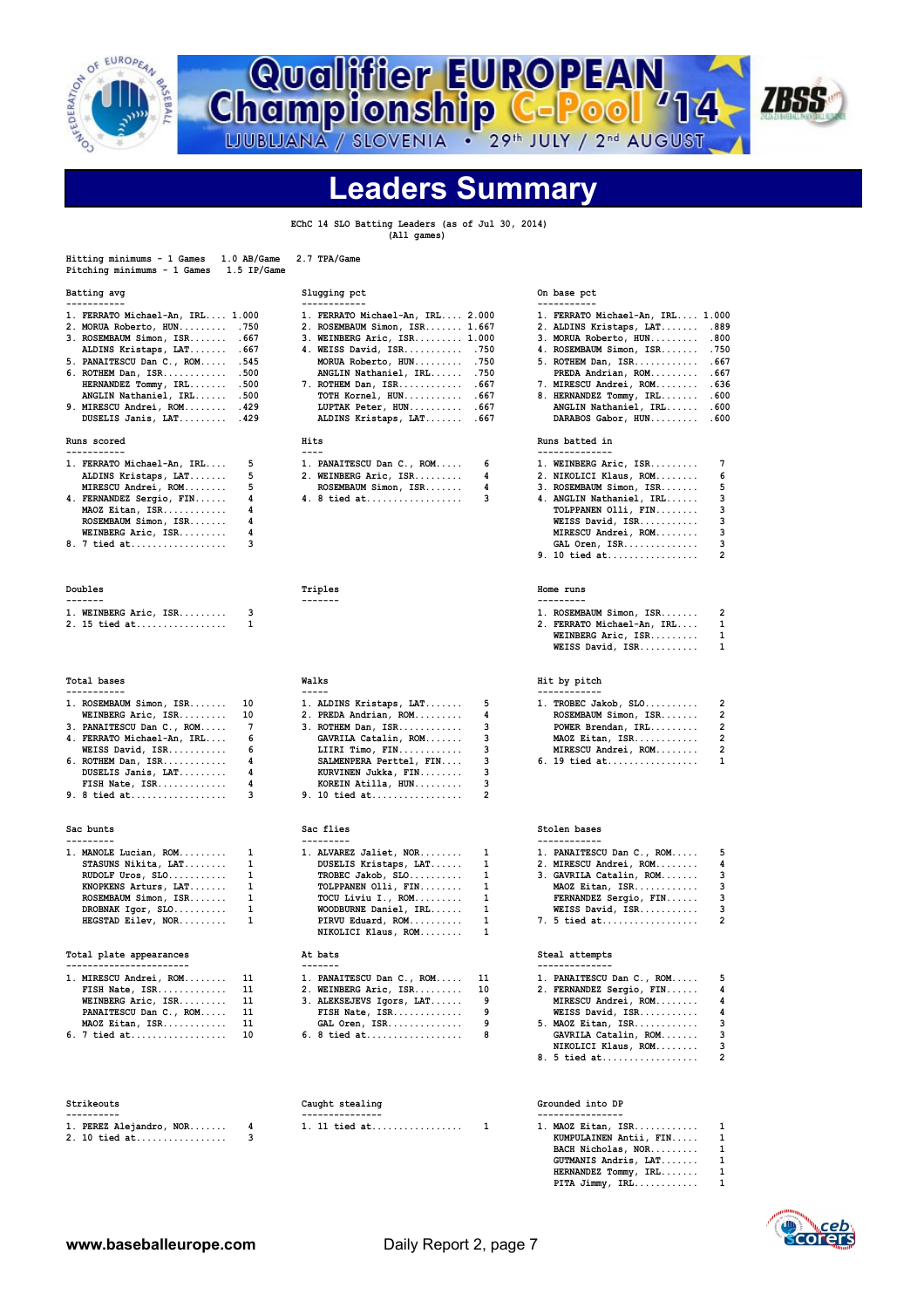

**Qualifier EUROPEAN<br>Championship C-Pool '14** 



**Leaders Summary**

 **EChC 14 SLO Batting Leaders (as of Jul 30, 2014) (All games)**

| 1.0 AB/Game<br>Hitting minimums - 1 Games<br>Pitching minimums - 1 Games<br>1.5 IP/Game | 2.7 TPA/Game                                                 |                                                                    |
|-----------------------------------------------------------------------------------------|--------------------------------------------------------------|--------------------------------------------------------------------|
| Batting avg<br>-----------                                                              | Slugging pct<br>------------                                 | On base pct<br>-----------                                         |
| 1. FERRATO Michael-An, IRL 1.000                                                        | 1. FERRATO Michael-An, IRL 2.000                             | 1. FERRATO Michael-An, IRL 1.000                                   |
| 2. MORUA Roberto, HUN .750                                                              | 2. ROSEMBAUM Simon, ISR 1.667                                | 2. ALDINS Kristaps, LAT<br>.889                                    |
| 3. ROSEMBAUM Simon, ISR .667                                                            | 3. WEINBERG Aric, ISR 1.000                                  | 3. MORUA Roberto, HUN<br>.800                                      |
| ALDINS Kristaps, LAT . 667                                                              | 4. WEISS David, ISR .750                                     | 4. ROSEMBAUM Simon, ISR<br>.750                                    |
| 5. PANAITESCU Dan C., ROM .545                                                          | MORUA Roberto, HUN .750                                      | 5. ROTHEM Dan, ISR .667                                            |
| 6. ROTHEM Dan, ISR .500                                                                 | ANGLIN Nathaniel, IRL<br>.750                                | PREDA Andrian, ROM<br>.667                                         |
| HERNANDEZ Tommy, IRL .500<br>ANGLIN Nathaniel, IRL .500                                 | 7. ROTHEM Dan, ISR .667<br>TOTH Kornel, HUN<br>.667          | 7. MIRESCU Andrei, ROM<br>. 636<br>8. HERNANDEZ Tommy, IRL<br>.600 |
| 9. MIRESCU Andrei, ROM . 429                                                            | LUPTAK Peter, HUN .667                                       | ANGLIN Nathaniel, IRL<br>.600                                      |
| DUSELIS Janis, LAT . 429                                                                | ALDINS Kristaps, LAT<br>.667                                 | DARABOS Gabor, HUN<br>.600                                         |
| Runs scored                                                                             | Hits                                                         | Runs batted in                                                     |
| -----------                                                                             | $- - - -$                                                    | --------------<br>7                                                |
| 5<br>1. FERRATO Michael-An, IRL<br>5<br>ALDINS Kristaps, LAT                            | 6<br>1. PANAITESCU Dan C., ROM<br>4<br>2. WEINBERG Aric, ISR | 1. WEINBERG Aric, ISR<br>2. NIKOLICI Klaus, ROM<br>6               |
| 5<br>MIRESCU Andrei, ROM                                                                | ROSEMBAUM Simon, ISR<br>4                                    | 5<br>3. ROSEMBAUM Simon, ISR                                       |
| 4<br>4. FERNANDEZ Sergio, FIN                                                           | 3<br>4. 8 tied at                                            | 3<br>4. ANGLIN Nathaniel, IRL                                      |
| 4<br>MAOZ Eitan, ISR                                                                    |                                                              | 3<br>TOLPPANEN Olli, FIN                                           |
| 4<br>ROSEMBAUM Simon, ISR                                                               |                                                              | WEISS David, ISR<br>3                                              |
| 4<br>WEINBERG Aric, ISR                                                                 |                                                              | 3<br>MIRESCU Andrei, ROM                                           |
| 3<br>8. 7 tied at                                                                       |                                                              | 3<br>GAL Oren, ISR                                                 |
|                                                                                         |                                                              | $\overline{2}$<br>9. 10 tied at                                    |
| Doubles                                                                                 | Triples                                                      | Home runs                                                          |
| -------                                                                                 | -------                                                      | ---------                                                          |
| 3<br>1. WEINBERG Aric, ISR<br>2. 15 tied at<br>1                                        |                                                              | $\overline{2}$<br>1. ROSEMBAUM Simon, ISR<br>1                     |
|                                                                                         |                                                              | 2. FERRATO Michael-An, IRL<br>WEINBERG Aric, ISR<br>1              |
|                                                                                         |                                                              | WEISS David, ISR<br>1                                              |
|                                                                                         |                                                              |                                                                    |
| Total bases<br>-----------                                                              | Walks<br>$- - - - -$                                         | Hit by pitch                                                       |
| 10<br>1. ROSEMBAUM Simon, ISR                                                           | 5<br>1. ALDINS Kristaps, LAT                                 | $\overline{2}$<br>$1.$ TROBEC Jakob, SLO                           |
| WEINBERG Aric, ISR<br>10                                                                | 2. PREDA Andrian, ROM<br>4                                   | ROSEMBAUM Simon, ISR<br>2                                          |
| $7\phantom{.0}$<br>3. PANAITESCU Dan C., ROM                                            | 3<br>3. ROTHEM Dan, ISR                                      | 2<br>POWER Brendan, IRL                                            |
| 6<br>4. FERRATO Michael-An, IRL                                                         | 3<br>GAVRILA Catalin, ROM                                    | $\overline{2}$<br>MAOZ Eitan, ISR                                  |
| 6<br>WEISS David, ISR                                                                   | 3<br>LIIRI Timo, FIN                                         | $\overline{2}$<br>MIRESCU Andrei, ROM                              |
| 4<br>6. ROTHEM Dan, ISR                                                                 | 3<br>SALMENPERA Perttel, FIN                                 | 1<br>6. 19 tied at                                                 |
| 4<br>DUSELIS Janis, LAT<br>4<br>FISH Nate, ISR                                          | 3<br>KURVINEN Jukka, FIN<br>3<br>KOREIN Atilla, HUN          |                                                                    |
| 9. 8 tied at<br>3                                                                       | $\overline{2}$<br>9. 10 tied at                              |                                                                    |
|                                                                                         |                                                              |                                                                    |
| Sac bunts                                                                               | Sac flies                                                    | Stolen bases                                                       |
| ---------                                                                               | ---------                                                    | ------------                                                       |
| 1<br>1. MANOLE Lucian, ROM<br>1<br>STASUNS Nikita, LAT                                  | 1. ALVAREZ Jaliet, NOR<br>1<br>1<br>DUSELIS Kristaps, LAT    | 5<br>1. PANAITESCU Dan C., ROM<br>4<br>2. MIRESCU Andrei, ROM      |
| 1<br>RUDOLF Uros, SLO                                                                   | 1<br>$TROBEC Jakob, SLO$                                     | з<br>3. GAVRILA Catalin, ROM                                       |
| 1<br>KNOPKENS Arturs, LAT                                                               | 1<br>TOLPPANEN Olli, FIN                                     | 3<br>MAOZ Eitan, ISR                                               |
| 1<br>ROSEMBAUM Simon, ISR                                                               | TOCU Liviu I., ROM<br>1                                      | 3<br>FERNANDEZ Sergio, FIN                                         |
| $\mathbf{1}$<br>DROBNAK Igor, SLO                                                       | $\mathbf{1}$<br>WOODBURNE Daniel, IRL                        | 3<br>WEISS David, ISR                                              |
| HEGSTAD Eilev, NOR<br>1                                                                 | $\mathbf{1}$<br>PIRVU Eduard, ROM                            | $\overline{2}$<br>7. 5 tied at                                     |
|                                                                                         | NIKOLICI Klaus, ROM<br>1                                     |                                                                    |
| Total plate appearances<br>-----------------------                                      | At bats<br>-------                                           | Steal attempts<br>--------------                                   |
| 1. MIRESCU Andrei, ROM<br>11                                                            | 1. PANAITESCU Dan C., ROM<br>11                              | 5<br>1. PANAITESCU Dan C., ROM                                     |
| FISH Nate, ISR<br>11                                                                    | 10<br>2. WEINBERG Aric, ISR                                  | 4<br>2. FERNANDEZ Sergio, FIN                                      |
| WEINBERG Aric, ISR<br>11                                                                | 9<br>3. ALEKSEJEVS Igors, LAT                                | 4<br>MIRESCU Andrei, ROM                                           |
| 11<br>PANAITESCU Dan C., ROM                                                            | 9<br>FISH Nate, ISR                                          | 4<br>WEISS David, ISR                                              |
| 11<br>MAOZ Eitan, ISR                                                                   | 9<br>GAL Oren, ISR                                           | 3<br>5. MAOZ Eitan, ISR                                            |
| 10<br>6. 7 tied at                                                                      | 8<br>6. 8 tied at                                            | 3<br>GAVRILA Catalin, ROM<br>NIKOLICI Klaus, ROM<br>3              |
|                                                                                         |                                                              | 8. 5 tied at<br>2                                                  |
|                                                                                         |                                                              |                                                                    |
| Strikeouts<br>----------                                                                | Caught stealing<br>---------------                           | Grounded into DP<br>----------------                               |
| 4<br>1. PEREZ Alejandro, NOR                                                            | 1. 11 tied at<br>1                                           | $1.$ MAOZ Eitan, ISR<br>1                                          |
| 3<br>2. 10 tied at                                                                      |                                                              | 1<br>KUMPULAINEN Antii, FIN                                        |
|                                                                                         |                                                              | BACH Nicholas, NOR<br>1                                            |
|                                                                                         |                                                              | 1<br>GUTMANIS Andris, LAT<br>1                                     |
|                                                                                         |                                                              | HERNANDEZ Tommy, IRL<br>1<br>PITA Jimmy, IRL                       |

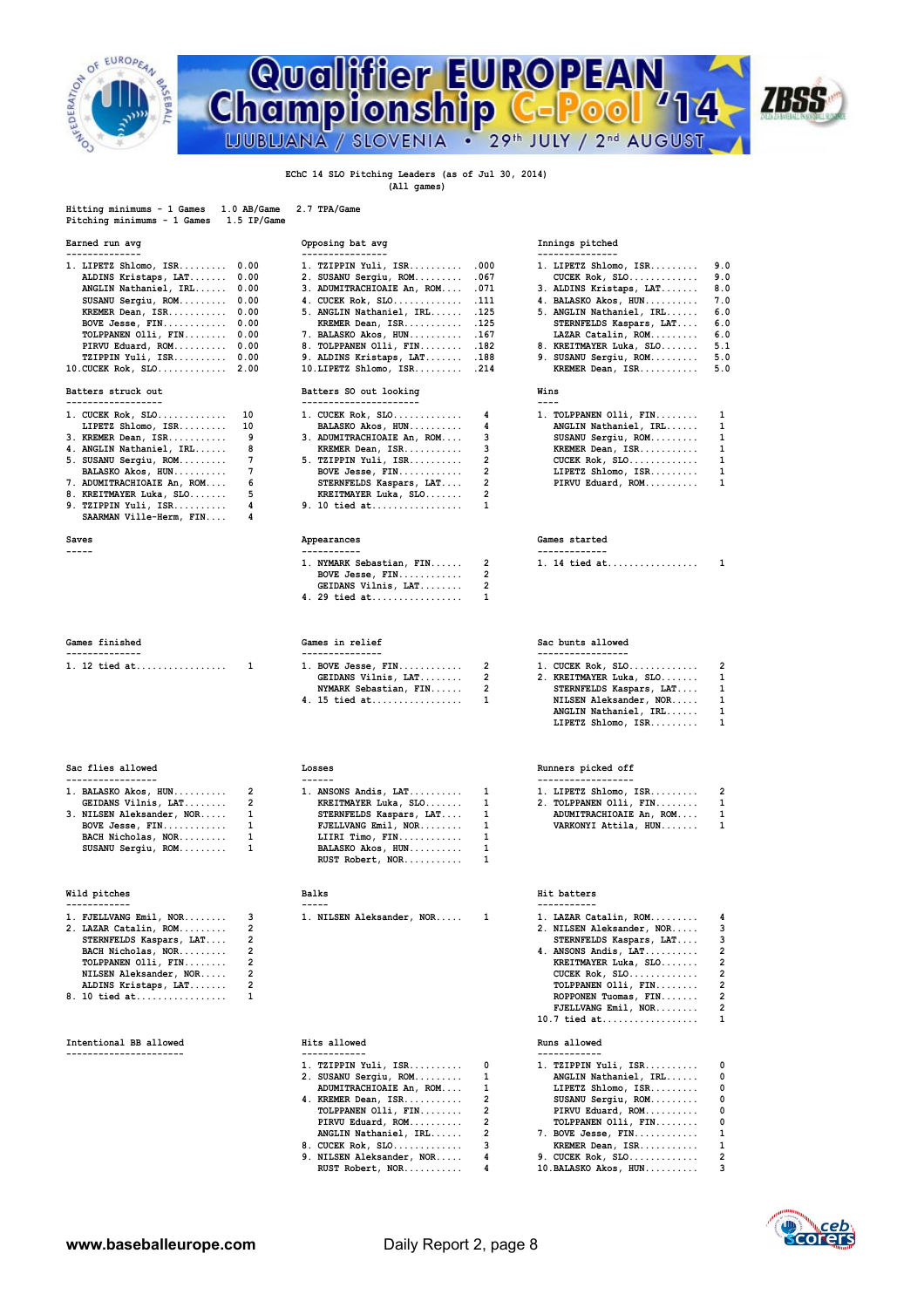

## Qualifier EUROPEAN<br>Championship C-Pool '14 **ZBSS** LJUBLJANA / SLOVENIA . 29th JULY / 2nd AUGUST

### **EChC 14 SLO Pitching Leaders (as of Jul 30, 2014) (All games)**

| Hitting minimums - 1 Games  | $1.0$ AB/Game | 2.7 TPA/Game |
|-----------------------------|---------------|--------------|
| Pitching minimums - 1 Games | 1.5 IP/Game   |              |

| 1. LIPETZ Shlomo, $ISR$ $0.00$ | 1. TZIPPIN Yuli, ISR .000       | 1. LIPETZ Shlomo, $ISR$ 9.0  |     |  |  |  |  |  |
|--------------------------------|---------------------------------|------------------------------|-----|--|--|--|--|--|
| ALDINS Kristaps, LAT 0.00      | 2. SUSANU Sergiu, ROM .067      | CUCEK Rok, $SLO$ 9.0         |     |  |  |  |  |  |
| ANGLIN Nathaniel, IRL 0.00     | 3. ADUMITRACHIOAIE An, ROM .071 | 3. ALDINS Kristaps, LAT 8.0  |     |  |  |  |  |  |
| SUSANU Sergiu, ROM 0.00        | 4. CUCEK Rok, SLO . 111         | 4. BALASKO Akos, HUN 7.0     |     |  |  |  |  |  |
| KREMER Dean, ISR 0.00          | 5. ANGLIN Nathaniel, IRL .125   | 5. ANGLIN Nathaniel, IRL 6.0 |     |  |  |  |  |  |
| BOVE Jesse, $FIN$ $0.00$       | KREMER Dean, ISR .125           | STERNFELDS Kaspars, LAT 6.0  |     |  |  |  |  |  |
| TOLPPANEN Olli, FIN 0.00       | 7. BALASKO Akos, HUN .167       | LAZAR Catalin, ROM 6.0       |     |  |  |  |  |  |
| PIRVU Eduard, ROM 0.00         | 8. TOLPPANEN Olli, FIN .182     | 8. KREITMAYER Luka, SLO 5.1  |     |  |  |  |  |  |
| TZIPPIN Yuli, ISR 0.00         | 9. ALDINS Kristaps, LAT .188    | 9. SUSANU Sergiu, ROM 5.0    |     |  |  |  |  |  |
| $10.CUCEK Rok, SLO$ 2.00       | 10.LIPETZ Shlomo, ISR214        | KREMER Dean, ISR             | 5.0 |  |  |  |  |  |
|                                |                                 |                              |     |  |  |  |  |  |

### Batters struck out

| $1.$ CUCEK Rok, SLO $10$     | 1. CUCEK Rok, SLO $4$        |  | 1. TOLPPANEN Olli, FIN $1$ |  |  |  |  |
|------------------------------|------------------------------|--|----------------------------|--|--|--|--|
| LIPETZ Shlomo, ISR 10        | BALASKO Akos, HUN 4          |  | ANGLIN Nathaniel, IRL 1    |  |  |  |  |
| 3. KREMER Dean, ISR 9        | 3. ADUMITRACHIOAIE An, ROM 3 |  | SUSANU Sergiu, ROM 1       |  |  |  |  |
| 4. ANGLIN Nathaniel, IRL 8   | KREMER Dean, ISR 3           |  | KREMER Dean, ISR 1         |  |  |  |  |
| 5. SUSANU Sergiu, ROM 7      | $5.$ TZIPPIN Yuli, ISR 2     |  | $CUCEK Rok, SLO$ 1         |  |  |  |  |
|                              |                              |  | LIPETZ Shlomo, $ISR$ 1     |  |  |  |  |
| 7. ADUMITRACHIOAIE An, ROM 6 | STERNFELDS Kaspars, LAT 2    |  | PIRVU Eduard, ROM 1        |  |  |  |  |
| 8. KREITMAYER Luka, SLO 5    | KREITMAYER Luka, SLO 2       |  |                            |  |  |  |  |
| 9. TZIPPIN Yuli, ISR $4$     | 9. 10 tied at 1              |  |                            |  |  |  |  |
| SAARMAN Ville-Herm, FIN 4    |                              |  |                            |  |  |  |  |
|                              |                              |  |                            |  |  |  |  |

### 

|  | Games finished |  |  |  |  |  |  |  |  |
|--|----------------|--|--|--|--|--|--|--|--|
|  |                |  |  |  |  |  |  |  |  |
|  | 1. 12 tied at  |  |  |  |  |  |  |  |  |

## **Sac flies allowed Losses Runners picked off**

| 1. BALASKO Akos, HUN      | 1 |
|---------------------------|---|
| GEIDANS Vilnis, LAT       |   |
| 3. NILSEN Aleksander, NOR |   |
| BOVE Jesse, FIN           |   |
| BACH Nicholas, NOR        |   |
| $SUSANI$ Sergiu, $ROM$ ,  |   |

## **Mild pitches Example 2018 Balks Balks Hit batters**

| 1. FJELLVANG Emil, NOR 3 1. NILSEN Aleksander, NOR 1 |  |  |  |  | 1. LAZAR Catalin, ROM 4      |  |  |  |
|------------------------------------------------------|--|--|--|--|------------------------------|--|--|--|
| 2. LAZAR Catalin, ROM 2                              |  |  |  |  | 2. NILSEN Aleksander, NOR 3  |  |  |  |
| STERNFELDS Kaspars, LAT 2                            |  |  |  |  | STERNFELDS Kaspars, LAT 3    |  |  |  |
| BACH Nicholas, NOR 2                                 |  |  |  |  | 4. ANSONS Andis, $LAT$ 2     |  |  |  |
| TOLPPANEN Olli, FIN 2                                |  |  |  |  | KREITMAYER Luka, SLO 2       |  |  |  |
| NILSEN Aleksander, NOR 2                             |  |  |  |  |                              |  |  |  |
| ALDINS Kristaps, LAT 2                               |  |  |  |  | TOLPPANEN Olli, FIN 2        |  |  |  |
| $8 \t10 + \t10 +$                                    |  |  |  |  | <b>DODDONEN Tuomae ETN</b> 2 |  |  |  |

## **Intentional BB allowed Hits allowed Runs allowed**

| 8. KREITMAYER Luka, SLO 5<br>SAARMAN Ville-Herm, FIN | KREITMAYER Luka, SLO<br>9. TZIPPIN Yuli, ISR 4 9. 10 tied at |    |                         |   |
|------------------------------------------------------|--------------------------------------------------------------|----|-------------------------|---|
| Saves<br>-----                                       | Appearances<br>.                                             |    | Games started           |   |
|                                                      | 1. NYMARK Sebastian, FIN                                     | -2 | 1. 14 tied at           | 1 |
|                                                      | BOVE Jesse, FIN                                              |    |                         |   |
|                                                      | GEIDANS Vilnis, LAT                                          |    |                         |   |
|                                                      | 4. 29 tied at                                                |    |                         |   |
| <b>Games finished</b>                                | Games in relief                                              |    | Sac bunts allowed       |   |
| 1. 12 tied at                                        | 1. BOVE Jesse, $FIN$ 2                                       |    | $1.$ CUCEK Rok, SLO     | 2 |
|                                                      | GEIDANS Vilnis, $LAT$                                        |    | 2. KREITMAYER Luka, SLO | 1 |
|                                                      | NYMARK Sebastian, FIN                                        | 2  | STERNFELDS Kaspars, LAT | 1 |
|                                                      | 4. 15 tied at                                                |    | NILSEN Aleksander, NOR  | 1 |
|                                                      |                                                              |    | ANGLIN Nathaniel, IRL   | 1 |
|                                                      |                                                              |    | LIPETZ Shlomo, ISR      | 1 |
|                                                      |                                                              |    |                         |   |
|                                                      |                                                              |    |                         |   |

|                             | 1. ANSONS Andis, $LAT$ $1$ | $1.$ LIPETZ Shlomo, ISR 2    |  |
|-----------------------------|----------------------------|------------------------------|--|
| GEIDANS Vilnis, LAT 2       | KREITMAYER Luka, SLO 1     | $2.$ TOLPPANEN Olli, FIN $1$ |  |
| 3. NILSEN Aleksander, NOR 1 | STERNFELDS Kaspars, LAT 1  | ADUMITRACHIOAIE An, ROM 1    |  |
| BOVE Jesse, $FIN$ 1         | FJELLVANG Emil, NOR 1      | VARKONYI Attila, HUN 1       |  |
| BACH Nicholas, NOR 1        | LIIRI Timo, $FIN$ 1        |                              |  |
| SUSANU Sergiu, ROM 1        | BALASKO Akos, HUN 1        |                              |  |
|                             | RUST Robert, NOR 1         |                              |  |

| $1.$ TZIPPIN Yuli, ISR $0$  | 1. TZIPPIN Yuli, ISR $0$ |  |
|-----------------------------|--------------------------|--|
| 2. SUSANU Sergiu, ROM 1     | ANGLIN Nathaniel, IRL 0  |  |
| ADUMITRACHIOAIE An, ROM 1   | LIPETZ Shlomo, ISR 0     |  |
| 4. KREMER Dean, ISR 2       | SUSANU Sergiu, ROM 0     |  |
| TOLPPANEN Olli, FIN 2       | PIRVU Eduard, ROM 0      |  |
| PIRVU Eduard, ROM 2         | TOLPPANEN Olli, FIN 0    |  |
| ANGLIN Nathaniel, IRL 2     | 7. BOVE Jesse, FIN 1     |  |
| 8. CUCEK Rok, SLO 3         | KREMER Dean, ISR 1       |  |
| 9. NILSEN Aleksander, NOR 4 | 9. CUCEK Rok, SLO 2      |  |
| RUST Robert, NOR 4          | 10. BALASKO Akos, HUN 3  |  |

### **Earned run avg Opposing bat avg Innings pitched**

| 1. LIPETZ Shlomo, ISR    | 9.0 |
|--------------------------|-----|
| CUCEK Rok, SLO           | 9.0 |
| 3. ALDINS Kristaps, LAT  | 8.0 |
| 4. BALASKO Akos, HUN     | 7.0 |
| 5. ANGLIN Nathaniel, IRL | 6.0 |
| STERNFELDS Kaspars, LAT  | 6.0 |
| LAZAR Catalin, ROM       | 6.0 |
| 8. KREITMAYER Luka, SLO  | 5.1 |
| 9. SUSANU Sergiu, ROM    | 5.0 |
| KREMER Dean, ISR         | 5.0 |

### **Batters SO out looking Wins**

| . TOLPPANEN Olli, FIN | 1  |
|-----------------------|----|
| ANGLIN Nathaniel, IRL | 1  |
| SUSANU Sergiu, ROM    | 1. |
| KREMER Dean, ISR      | 1  |
| CUCEK Rok, SLO        | 1  |
| LIPETZ Shlomo, ISR    | 1. |
| PIRVU Eduard, ROM     | 1. |

### **Games finished Games in relief Sac bunts allowed**

|  | 1. CUCEK Rok, SLO       | 2 |
|--|-------------------------|---|
|  | 2. KREITMAYER Luka, SLO | 1 |
|  | STERNFELDS Kaspars, LAT | 1 |
|  | NILSEN Aleksander, NOR  | 1 |
|  | ANGLIN Nathaniel, IRL   | 1 |
|  | LIPETZ Shlomo, ISR      | 1 |

| 1. LIPETZ Shlomo, ISR   |  |
|-------------------------|--|
| 2. TOLPPANEN Olli, FIN  |  |
| ADUMITRACHIOAIE An, ROM |  |
| VARKONYI Attila, HUN    |  |

| 1. FJELLVANG Emil, NOR 3  |  | 1. NILSEN Aleksander, NOR 1 |  | 1. LAZAR Catalin, ROM 4     |  |
|---------------------------|--|-----------------------------|--|-----------------------------|--|
| 2. LAZAR Catalin, ROM 2   |  |                             |  | 2. NILSEN Aleksander, NOR 3 |  |
| STERNFELDS Kaspars, LAT 2 |  |                             |  | STERNFELDS Kaspars, LAT 3   |  |
| BACH Nicholas, NOR 2      |  |                             |  | 4. ANSONS Andis, LAT 2      |  |
| TOLPPANEN Olli, FIN 2     |  |                             |  | KREITMAYER Luka, SLO 2      |  |
| NILSEN Aleksander, NOR 2  |  |                             |  | CUCEK Rok, $SLO$ 2          |  |
| ALDINS Kristaps, LAT 2    |  |                             |  | TOLPPANEN Olli, FIN 2       |  |
| 8. 10 tied at       1     |  |                             |  | ROPPONEN Tuomas, FIN 2      |  |
|                           |  |                             |  | FJELLVANG Emil, NOR 2       |  |
|                           |  |                             |  | 10.7 tied at 1              |  |
|                           |  |                             |  |                             |  |

| 1. TZIPPIN Yuli, ISR   |
|------------------------|
| ANGLIN Nathaniel, IRL  |
| LIPETZ Shlomo, ISR     |
| SUSANU Sergiu, ROM     |
| PIRVU Eduard, ROM      |
| TOLPPANEN Olli, FIN    |
| 7. BOVE Jesse, FIN     |
| KREMER Dean, ISR       |
| 9. CUCEK Rok, SLO      |
| $10.BALASKO Akos, HUN$ |

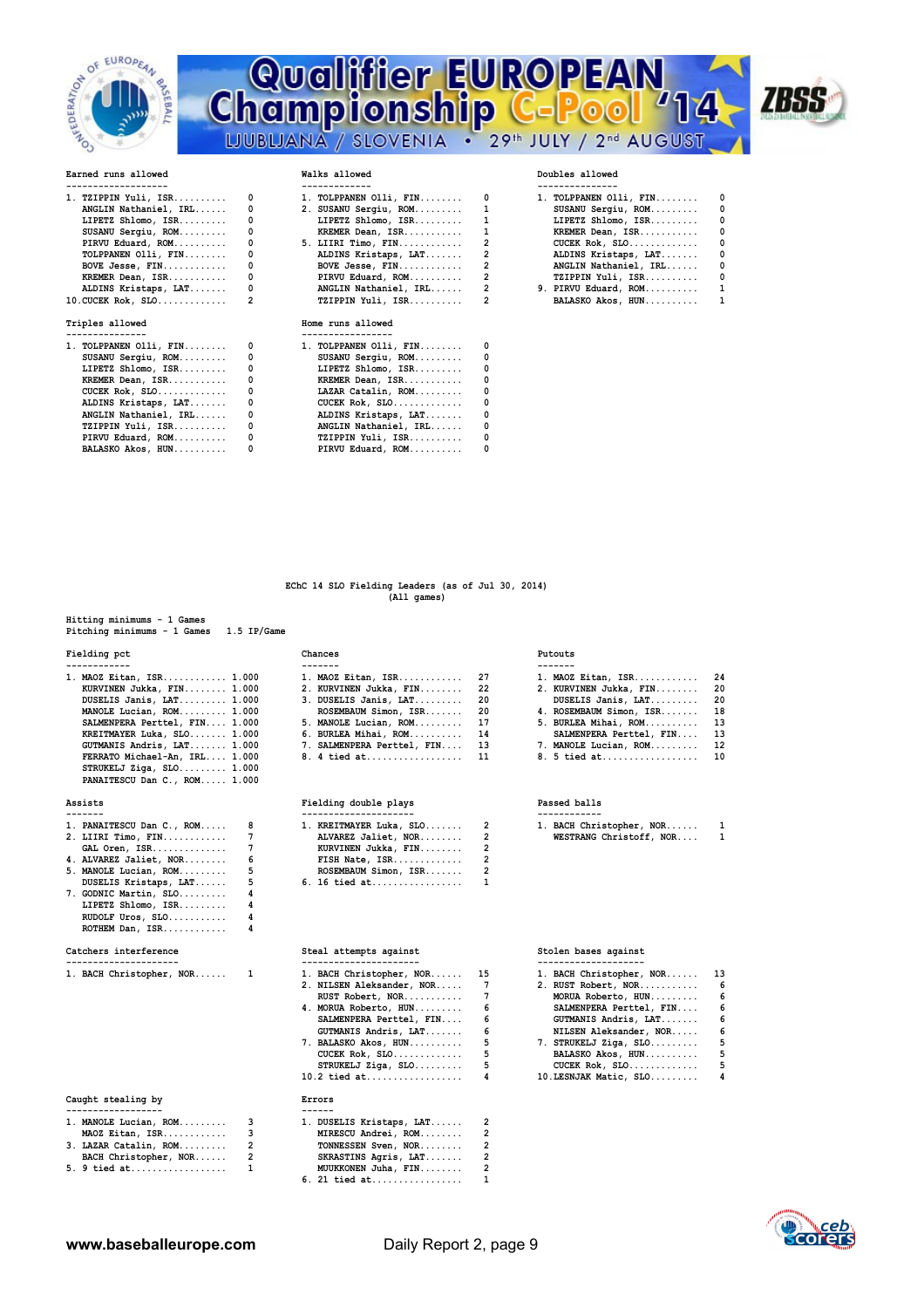

# **EUROPEARS AND REARS ALLOWED A CHARGE CONSULTS ALLOWED A CONSULTS ALLOWED WALKS ALLOWED WALKS ALLOWED DOUBLES ALLOwed Qualifier EUROPEAN**<br>Championship C-Pool 714 LJUBLJANA / SLOVENIA . 29th JULY / 2nd AUGUST



| 1. TZIPPIN Yuli, ISR       | $^{\circ}$              | $1.$ TOLPPANEN Olli, FIN $0$                   |                                | 1. TOLPPANEN Olli, FIN | 0 |
|----------------------------|-------------------------|------------------------------------------------|--------------------------------|------------------------|---|
| ANGLIN Nathaniel, IRL      |                         | 2. SUSANU Sergiu, ROM 1                        |                                | SUSANU Sergiu, ROM     | 0 |
| $LIPETZ$ Shlomo, $ISR$     |                         | LIPETZ Shlomo, $ISR \ldots \ldots \ldots 1$    |                                | LIPETZ Shlomo, ISR     | 0 |
| SUSANU Sergiu, ROM         |                         | KREMER Dean, ISR 1                             |                                | KREMER Dean, ISR       | 0 |
| PIRVU Eduard, ROM          | $^{\circ}$              | $5.$ LIIRI Timo, FIN 2                         |                                | $CUCEK Rok, SLO.$      | 0 |
| TOLPPANEN $Olli$ , $FIN$   |                         | ALDINS Kristaps, LAT                           | $2 \left( \frac{1}{2} \right)$ | ALDINS Kristaps, LAT   | 0 |
|                            | $\overline{\mathbf{0}}$ | $BOVE$ Jesse, $FIN$                            | $\sim$ 2                       | ANGLIN Nathaniel, IRL  | 0 |
| KREMER Dean, ISR           | $\mathbf{0}$            | PIRVU Eduard, ROM                              | $2 \left( \frac{1}{2} \right)$ | TZIPPIN Yuli, ISR      | 0 |
|                            |                         | ALDINS Kristaps, LAT 0 ANGLIN Nathaniel, IRL 2 |                                | 9. PIRVU Eduard, ROM   | 1 |
|                            |                         | TZIPPIN Yuli, ISR 2                            |                                | BALASKO Akos, HUN      | ı |
| Triples allowed            |                         | Home runs allowed                              |                                |                        |   |
| ---------------            |                         | -----------------                              |                                |                        |   |
| 1. TOLPPANEN Olli, $FIN$ 0 |                         | 1. TOLPPANEN Olli, FIN                         | 0                              |                        |   |
| SUSANU Sergiu, ROM         |                         | SUSANU Sergiu, ROM                             | 0                              |                        |   |
| $LIPETZ$ Shlomo, $ISR$     | $^{\circ}$              | LIPETZ Shlomo, ISR                             | 0                              |                        |   |
| KREMER Dean, ISR           |                         | KREMER Dean, ISR                               | 0                              |                        |   |
| $CUCEK$ $Rok$ , $SLO$      | $\mathbf{0}$            | LAZAR Catalin, ROM                             | 0                              |                        |   |
| ALDINS Kristaps, LAT       | $\mathbf{0}$            | $CUCEK$ $Rok$ , $SLO$                          | 0                              |                        |   |
| ANGLIN Nathaniel, IRL      |                         | ALDINS Kristaps, LAT                           | 0                              |                        |   |
|                            |                         |                                                |                                |                        |   |

 **ANGLIN Nathaniel, IRL...... 0 ALDINS Kristaps, LAT....... 0 TZIPPIN Yuli, ISR.......... 0 ANGLIN Nathaniel, IRL...... 0 PIRVU Eduard, ROM.......... 0 TZIPPIN Yuli, ISR.......... 0 BALASKO Akos, HUN.......... 0 PIRVU Eduard, ROM.......... 0** 

|  | 1. TOLPPANEN Olli, FIN | n |
|--|------------------------|---|
|  | SUSANU Sergiu, ROM     | ٥ |
|  | LIPETZ Shlomo, ISR     | n |
|  | KREMER Dean, ISR       | n |
|  | CUCEK Rok, SLO         | n |
|  | ALDINS Kristaps, LAT   | n |
|  | ANGLIN Nathaniel, IRL  | n |
|  | TZIPPIN Yuli, ISR      | U |
|  | 9. PIRVU Eduard, ROM   | 1 |
|  | BALASKO Akos, HUN      |   |
|  |                        |   |

 **EChC 14 SLO Fielding Leaders (as of Jul 30, 2014) (All games)**

| Hitting minimums - 1 Games              |  |  |  |
|-----------------------------------------|--|--|--|
| Pitching minimums - 1 Games 1.5 IP/Game |  |  |  |

| 1. MAOZ Eitan, ISR 1.000       | 1. MAOZ Eitan, ISR 27         | 1. MAOZ     |
|--------------------------------|-------------------------------|-------------|
| KURVINEN Jukka, FIN 1.000      | 2. KURVINEN Jukka, FIN 22     | 2. KURV     |
| DUSELIS Janis, LAT 1.000       | $3.$ DUSELIS Janis, LAT 20    | <b>DUSE</b> |
| MANOLE Lucian, ROM 1.000       | ROSEMBAUM Simon, ISR 20       | 4. ROSE     |
| SALMENPERA Perttel, FIN 1.000  | $5.$ MANOLE Lucian, ROM 17    | 5. BURL     |
| KREITMAYER Luka, SLO 1.000     | 6. BURLEA Mihai, ROM 14       | <b>SALM</b> |
| GUTMANIS Andris, LAT 1.000     | 7. SALMENPERA Perttel, FIN 13 | 7. MANO     |
| FERRATO Michael-An, IRL 1.000  | 8. 4 tied at 11               | 8.5 ti      |
| $STRUKELJ$ Ziga, $SLO$ $1.000$ |                               |             |
| PANAITESCU Dan C., ROM 1.000   |                               |             |
|                                |                               |             |

| 1. PANAITESCU Dan C., ROM | 8 |
|---------------------------|---|
| 2. LIIRI Timo, FIN        | 7 |
| GAL Oren, ISR             | 7 |
| 4. ALVAREZ Jaliet, NOR    | 6 |
| 5. MANOLE Lucian, ROM     | 5 |
| DUSELIS Kristaps, LAT     | 5 |
| 7. GODNIC Martin, SLO     | 4 |
| LIPETZ Shlomo, ISR        | 4 |
| RUDOLF Uros, SLO          | 4 |
| ROTHEM Dan, ISR           | 4 |

### Catchers interference

|  | RACH Christopher |  |
|--|------------------|--|

| Caught stealing by    | Errors |             |
|-----------------------|--------|-------------|
|                       |        |             |
| 1. MANOLE Lucian, ROM | 3      | 1. DUSE     |
| MAOZ Eitan, ISR       | 3      | MIRE        |
| 3. LAZAR Catalin, ROM | 2      | <b>TONN</b> |
| BACH Christopher, NOR | 2      | <b>SKRA</b> |
| $0 + 1 + 1 + 1$       |        | 1.0777777   |

| Fielding pct | Chances | Putouts |
|--------------|---------|---------|

| $1.$ MAOZ Eitan, ISR       | 27 |
|----------------------------|----|
| 2. KURVINEN Jukka, FIN     | 22 |
| 3. DUSELIS Janis, LAT      | 20 |
| ROSEMBAUM Simon, ISR       | 20 |
| 5. MANOLE Lucian, ROM      | 17 |
| 6. BURLEA Mihai, ROM       | 14 |
| 7. SALMENPERA Perttel, FIN | 13 |
| 8. 4 tied at               | 11 |

### **Assists Fielding double plays Passed balls**

| 1. PANAITESCU Dan C., ROM 8 | 1. KREITMAYER Luka, SLO 2 | 1. BACH Christopher, NOR 1 |  |
|-----------------------------|---------------------------|----------------------------|--|
| 2. LIIRI Timo, FIN       7  | ALVAREZ Jaliet, NOR 2     | WESTRANG Christoff, NOR 1  |  |
| GAL Oren, ISR  7            | KURVINEN Jukka, FIN 2     |                            |  |
| 4. ALVAREZ Jaliet, NOR 6    | FISH Nate, ISR 2          |                            |  |
| 5. MANOLE Lucian, ROM 5     | ROSEMBAUM Simon, ISR 2    |                            |  |
| DUSELIS Kristaps, LAT 5     |                           |                            |  |
|                             |                           |                            |  |

| 1. BACH Christopher, NOR | 1. BACH Christopher, NOR 15 |    | 1. BACH Christopher,  |
|--------------------------|-----------------------------|----|-----------------------|
|                          | 2. NILSEN Aleksander, NOR 7 |    | 2. RUST Robert, NOR.  |
|                          | RUST Robert, NOR            | 7  | MORUA Roberto, HU     |
|                          | 4. MORUA Roberto, HUN       | -6 | SALMENPERA Pertte     |
|                          | SALMENPERA Perttel, FIN 6   |    | GUTMANIS Andris,      |
|                          | GUTMANIS Andris, LAT        | 6  | NILSEN Aleksander     |
|                          | 7. BALASKO Akos, HUN        | 5  | 7. STRUKELJ Ziga, SL  |
|                          | $CUCEK$ $Rok$ , $SLO$       | 5  | BALASKO Akos, HUN     |
|                          | $STRUKELJ$ Ziga, $SLO$      | 5  | CUCEK Rok, SLO        |
|                          |                             | 4  | 10. LESNJAK Matic, SL |
|                          |                             |    |                       |

## Errors

| 1. MANOLE Lucian, ROM | 1. DUSELIS Kristaps, LAT 2 |  |
|-----------------------|----------------------------|--|
| MAOZ Eitan, ISR       | MIRESCU Andrei, ROM        |  |
| 3. LAZAR Catalin, ROM | TONNESSEN Sven, NOR 2      |  |
| BACH Christopher, NOR | SKRASTINS Agris, LAT       |  |
| 5. 9 tied at 1        | MUUKKONEN Juha, FIN 2      |  |
|                       | 6. 21 tied at $1$          |  |

### **Catchers interference Steal attempts against Stolen bases against**

| --------------------     |                             |    |                             |  |
|--------------------------|-----------------------------|----|-----------------------------|--|
| 1. BACH Christopher, NOR | 1. BACH Christopher, NOR 15 |    | 1. BACH Christopher, NOR 13 |  |
|                          | 2. NILSEN Aleksander, NOR 7 |    | 2. RUST Robert, NOR 6       |  |
|                          |                             |    | MORUA Roberto, HUN 6        |  |
|                          | 4. MORUA Roberto, HUN 6     |    | SALMENPERA Perttel, FIN 6   |  |
|                          | SALMENPERA Perttel, FIN 6   |    | GUTMANIS Andris, LAT 6      |  |
|                          | GUTMANIS Andris, LAT 6      |    | NILSEN Aleksander, NOR 6    |  |
|                          | 7. BALASKO Akos, HUN        | -5 | 7. STRUKELJ Ziga, SLO 5     |  |
|                          | $CUCEK$ Rok, $SLO$          | 5  | BALASKO Akos, HUN 5         |  |
|                          | $STRUKELJ$ Ziga, $SLO$      |    | CUCEK Rok, $SLO$ 5          |  |
|                          |                             |    | 10. LESNJAK Matic, SLO 4    |  |

**1. MAOZ Eitan, ISR................. 24**<br>2. KURVINEN Jukka, FIN......... 20 **2. KURVINEN Jukka, FIN........ DUSELIS Janis, LAT......... 1.000 3. DUSELIS Janis, LAT......... 20 DUSELIS Janis, LAT......... 20 4. ROSEMBAUM Simon, ISR........ 18**<br>5. BURLEA Mihai ROM 13 **5. BURLEA Mihai, ROM.......... SALMENPERA Perttel, FIN.... 13<br>MANOLE Lucian, ROM......... 12 7. MANOLE Lucian, ROM.......... 12**<br>8.5 tied at.................... 10 **8. 5 tied at...................** 

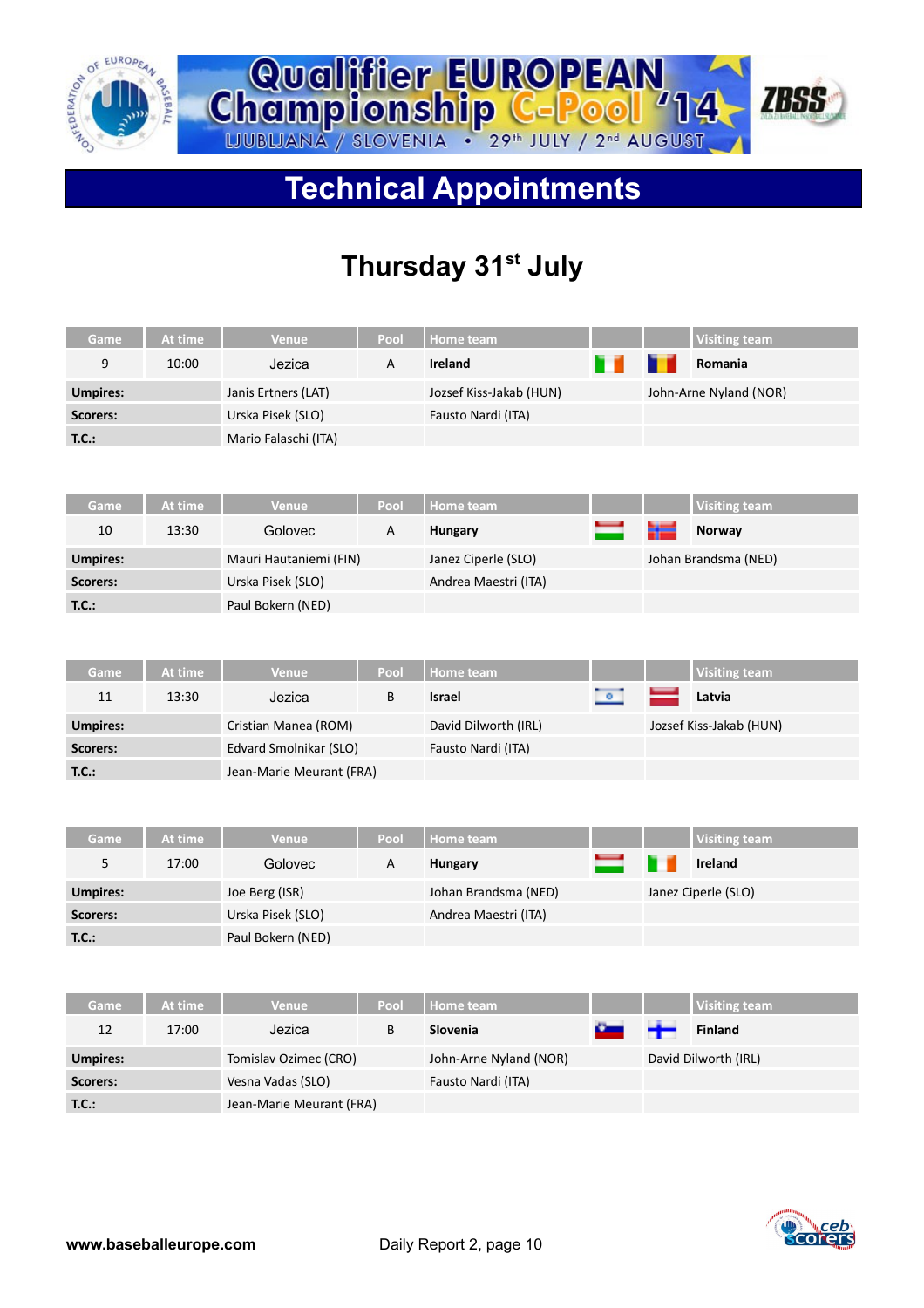



# **Technical Appointments**

# **Thursday 31st July**

| Game            | At time | Venue                    | Pool | Home team               |        | <b>Visiting team</b>    |
|-----------------|---------|--------------------------|------|-------------------------|--------|-------------------------|
| 9               | 10:00   | Jezica                   | A    | <b>Ireland</b>          |        | Romania                 |
| <b>Umpires:</b> |         | Janis Ertners (LAT)      |      | Jozsef Kiss-Jakab (HUN) |        | John-Arne Nyland (NOR)  |
| Scorers:        |         | Urska Pisek (SLO)        |      | Fausto Nardi (ITA)      |        |                         |
| T.C.:           |         | Mario Falaschi (ITA)     |      |                         |        |                         |
|                 |         |                          |      |                         |        |                         |
| Game            | At time | <b>Venue</b>             | Pool | <b>Home team</b>        |        | <b>Visiting team</b>    |
| 10              | 13:30   | Golovec                  | Α    | <b>Hungary</b>          |        | Norway                  |
| <b>Umpires:</b> |         | Mauri Hautaniemi (FIN)   |      | Janez Ciperle (SLO)     |        | Johan Brandsma (NED)    |
| Scorers:        |         | Urska Pisek (SLO)        |      | Andrea Maestri (ITA)    |        |                         |
| <b>T.C.:</b>    |         | Paul Bokern (NED)        |      |                         |        |                         |
|                 |         |                          |      |                         |        |                         |
| Game            | At time | <b>Venue</b>             | Pool | Home team               |        | <b>Visiting team</b>    |
| 11              | 13:30   | Jezica                   | B    | <b>Israel</b>           | $\sim$ | Latvia                  |
| <b>Umpires:</b> |         | Cristian Manea (ROM)     |      | David Dilworth (IRL)    |        | Jozsef Kiss-Jakab (HUN) |
| Scorers:        |         | Edvard Smolnikar (SLO)   |      | Fausto Nardi (ITA)      |        |                         |
| T.C.:           |         | Jean-Marie Meurant (FRA) |      |                         |        |                         |
|                 |         |                          |      |                         |        |                         |
| Game            | At time | Venue                    | Pool | <b>Home team</b>        |        | <b>Visiting team</b>    |
| 5               | 17:00   | Golovec                  | Α    | <b>Hungary</b>          |        | <b>Ireland</b>          |
| <b>Umpires:</b> |         | Joe Berg (ISR)           |      | Johan Brandsma (NED)    |        | Janez Ciperle (SLO)     |
| Scorers:        |         | Urska Pisek (SLO)        |      | Andrea Maestri (ITA)    |        |                         |
| <b>T.C.:</b>    |         | Paul Bokern (NED)        |      |                         |        |                         |
|                 |         |                          |      |                         |        |                         |
| Game            | At time | <b>Venue</b>             | Pool | <b>Home team</b>        |        | <b>Visiting team</b>    |
| 12              | 17:00   | Jezica                   | B    | Slovenia                |        | Finland                 |
| <b>Umpires:</b> |         | Tomislav Ozimec (CRO)    |      | John-Arne Nyland (NOR)  |        | David Dilworth (IRL)    |
| Scorers:        |         | Vesna Vadas (SLO)        |      | Fausto Nardi (ITA)      |        |                         |
| T.C.:           |         | Jean-Marie Meurant (FRA) |      |                         |        |                         |